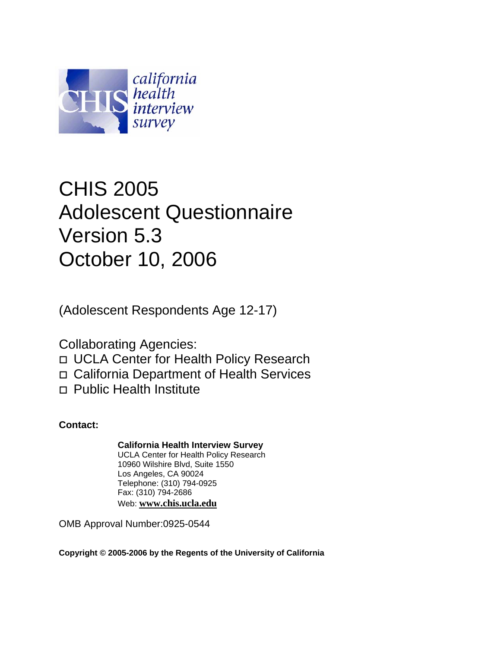

# CHIS 2005 Adolescent Questionnaire Version 5.3 October 10, 2006

(Adolescent Respondents Age 12-17)

Collaborating Agencies:

UCLA Center for Health Policy Research

California Department of Health Services

Public Health Institute

**Contact:** 

**California Health Interview Survey**

UCLA Center for Health Policy Research 10960 Wilshire Blvd, Suite 1550 Los Angeles, CA 90024 Telephone: (310) 794-0925 Fax: (310) 794-2686 Web: **[www.chis.ucla.edu](http://www.chis.ucla.edu/)**

OMB Approval Number:0925-0544

**Copyright © 2005-2006 by the Regents of the University of California**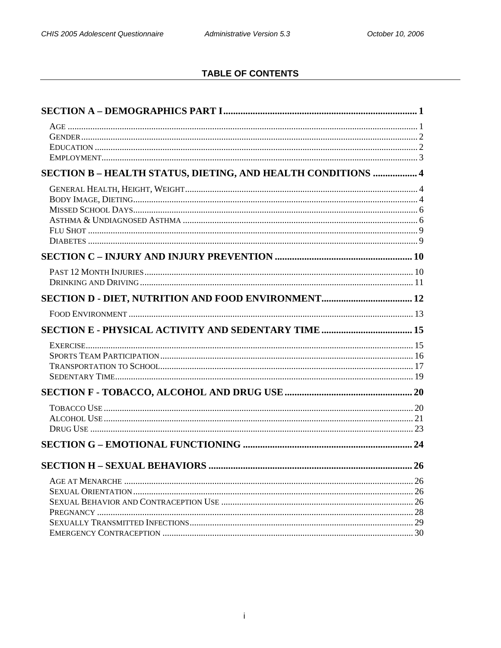# **TABLE OF CONTENTS**

| SECTION B - HEALTH STATUS, DIETING, AND HEALTH CONDITIONS  4 |  |
|--------------------------------------------------------------|--|
|                                                              |  |
|                                                              |  |
|                                                              |  |
|                                                              |  |
|                                                              |  |
|                                                              |  |
|                                                              |  |
|                                                              |  |
|                                                              |  |
|                                                              |  |
|                                                              |  |
|                                                              |  |
|                                                              |  |
|                                                              |  |
|                                                              |  |
|                                                              |  |
|                                                              |  |
|                                                              |  |
|                                                              |  |
|                                                              |  |
|                                                              |  |
|                                                              |  |
|                                                              |  |
|                                                              |  |
|                                                              |  |
|                                                              |  |
|                                                              |  |
|                                                              |  |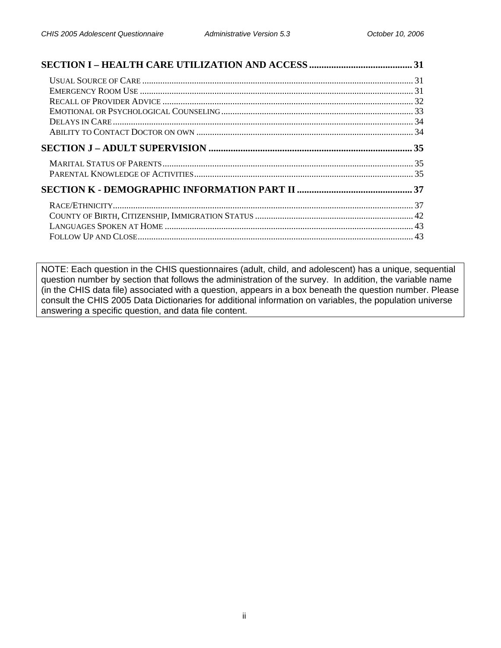NOTE: Each question in the CHIS questionnaires (adult, child, and adolescent) has a unique, sequential question number by section that follows the administration of the survey. In addition, the variable name (in the CHIS data file) associated with a question, appears in a box beneath the question number. Please consult the CHIS 2005 Data Dictionaries for additional information on variables, the population universe answering a specific question, and data file content.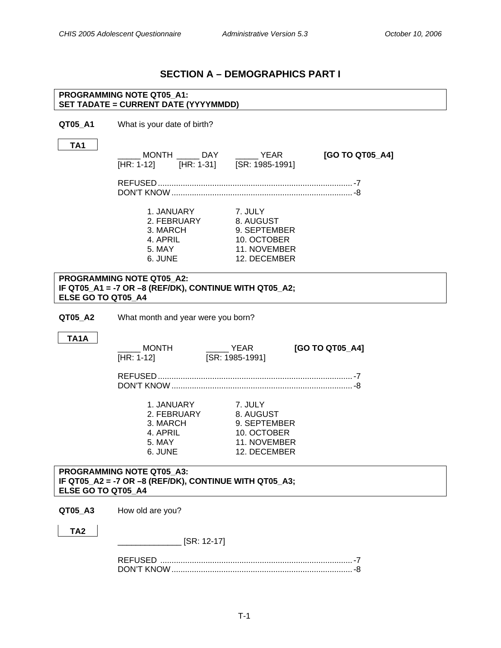# **SECTION A – DEMOGRAPHICS PART I**

### <span id="page-3-0"></span>**PROGRAMMING NOTE QT05\_A1: SET TADATE = CURRENT DATE (YYYYMMDD)**

**QT05\_A1** What is your date of birth?

**TA1** 

| 1 A 1              | $[HR: 1-12]$                                                                               | MONTH DAY YEAR<br>$\frac{1111}{[HR: 1-31]}$ $\frac{1111}{[SR: 1985-1991]}$          | [GO TO QT05_A4] |
|--------------------|--------------------------------------------------------------------------------------------|-------------------------------------------------------------------------------------|-----------------|
|                    |                                                                                            |                                                                                     |                 |
|                    | 1. JANUARY<br>2. FEBRUARY<br>3. MARCH<br>4. APRIL<br>5. MAY<br>6. JUNE                     | 7. JULY<br>8. AUGUST<br>9. SEPTEMBER<br>10. OCTOBER<br>11. NOVEMBER<br>12. DECEMBER |                 |
| ELSE GO TO QT05 A4 | <b>PROGRAMMING NOTE QT05 A2:</b><br>IF QT05_A1 = -7 OR -8 (REF/DK), CONTINUE WITH QT05_A2; |                                                                                     |                 |
| QT05_A2            | What month and year were you born?                                                         |                                                                                     |                 |
| <b>TA1A</b>        | <b>MONTH</b><br>[HR: 1-12]                                                                 | $\rule{1em}{0.15mm}$ YEAR<br>[SR: 1985-1991]                                        | [GO TO QT05_A4] |
|                    |                                                                                            |                                                                                     |                 |
|                    | 1. JANUARY<br>2. FEBRUARY<br>3. MARCH<br>4. APRIL<br>5. MAY<br>6. JUNE                     | 7. JULY<br>8. AUGUST<br>9. SEPTEMBER<br>10. OCTOBER<br>11. NOVEMBER<br>12. DECEMBER |                 |
| ELSE GO TO QT05 A4 | PROGRAMMING NOTE QT05 A3:<br>IF QT05_A2 = -7 OR -8 (REF/DK), CONTINUE WITH QT05_A3;        |                                                                                     |                 |
| QT05_A3            | How old are you?                                                                           |                                                                                     |                 |
| TA <sub>2</sub>    | $\frac{1}{2}$ [SR: 12-17]                                                                  |                                                                                     |                 |
|                    |                                                                                            |                                                                                     |                 |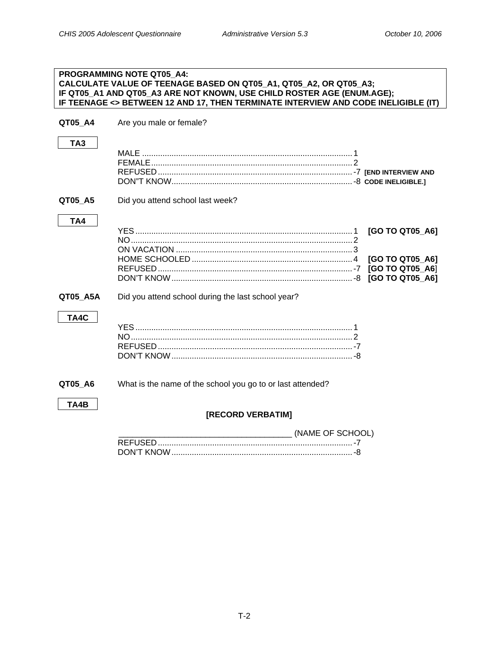<span id="page-4-0"></span>

|                 | <b>PROGRAMMING NOTE QT05_A4:</b><br>CALCULATE VALUE OF TEENAGE BASED ON QT05_A1, QT05_A2, OR QT05_A3;<br>IF QT05_A1 AND QT05_A3 ARE NOT KNOWN, USE CHILD ROSTER AGE (ENUM.AGE);<br>IF TEENAGE <> BETWEEN 12 AND 17, THEN TERMINATE INTERVIEW AND CODE INELIGIBLE (IT) |
|-----------------|-----------------------------------------------------------------------------------------------------------------------------------------------------------------------------------------------------------------------------------------------------------------------|
| QT05 A4         | Are you male or female?                                                                                                                                                                                                                                               |
| TA <sub>3</sub> |                                                                                                                                                                                                                                                                       |
| QT05_A5         | Did you attend school last week?                                                                                                                                                                                                                                      |
| TA4             | [GO TO QT05_A6]<br>[GO TO QT05_A6]<br>[GO TO QT05 A6]                                                                                                                                                                                                                 |
| QT05_A5A        | Did you attend school during the last school year?                                                                                                                                                                                                                    |
| TA4C            |                                                                                                                                                                                                                                                                       |
| QT05_A6         | What is the name of the school you go to or last attended?                                                                                                                                                                                                            |
| TA4B            | [RECORD VERBATIM]                                                                                                                                                                                                                                                     |
|                 | (NAME OF SCHOOL)                                                                                                                                                                                                                                                      |
|                 |                                                                                                                                                                                                                                                                       |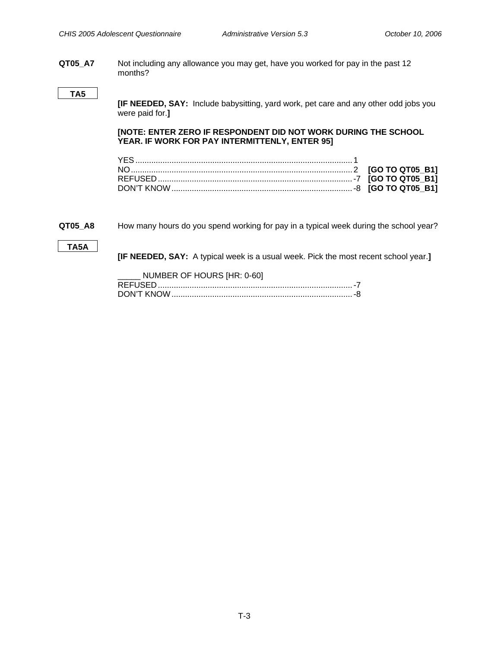<span id="page-5-0"></span>**QT05\_A7** Not including any allowance you may get, have you worked for pay in the past 12 months?

### **TA5**

**[IF NEEDED, SAY:** Include babysitting, yard work, pet care and any other odd jobs you were paid for.**]** 

**[NOTE: ENTER ZERO IF RESPONDENT DID NOT WORK DURING THE SCHOOL YEAR. IF WORK FOR PAY INTERMITTENLY, ENTER 95]** 

**QT05\_A8** How many hours do you spend working for pay in a typical week during the school year?

### **TA5A**

**[IF NEEDED, SAY:** A typical week is a usual week. Pick the most recent school year.**]** 

| NUMBER OF HOURS [HR: 0-60] |
|----------------------------|
|                            |
|                            |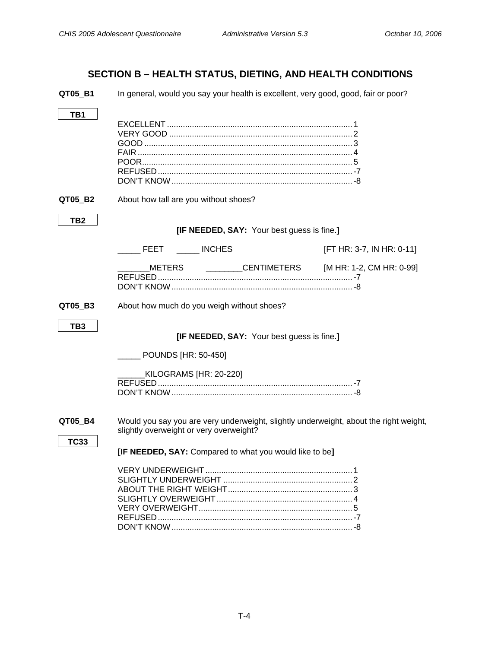# **SECTION B – HEALTH STATUS, DIETING, AND HEALTH CONDITIONS**

<span id="page-6-0"></span>**QT05\_B1** In general, would you say your health is excellent, very good, good, fair or poor?

| TB1                    |                                                                                                                                  |                           |
|------------------------|----------------------------------------------------------------------------------------------------------------------------------|---------------------------|
| QT05_B2                | About how tall are you without shoes?                                                                                            |                           |
| TB2                    | [IF NEEDED, SAY: Your best guess is fine.]                                                                                       |                           |
|                        | <b>FEET</b><br><b>INCHES</b>                                                                                                     | [FT HR: 3-7, IN HR: 0-11] |
|                        | METERS<br><b>CENTIMETERS</b>                                                                                                     | [M HR: 1-2, CM HR: 0-99]  |
| QT05_B3                | About how much do you weigh without shoes?                                                                                       |                           |
| TB <sub>3</sub>        | [IF NEEDED, SAY: Your best guess is fine.]                                                                                       |                           |
|                        | <b>POUNDS [HR: 50-450]</b>                                                                                                       |                           |
|                        | KILOGRAMS [HR: 20-220]                                                                                                           |                           |
| QT05_B4<br><b>TC33</b> | Would you say you are very underweight, slightly underweight, about the right weight,<br>slightly overweight or very overweight? |                           |
|                        | [IF NEEDED, SAY: Compared to what you would like to be]                                                                          |                           |
|                        |                                                                                                                                  |                           |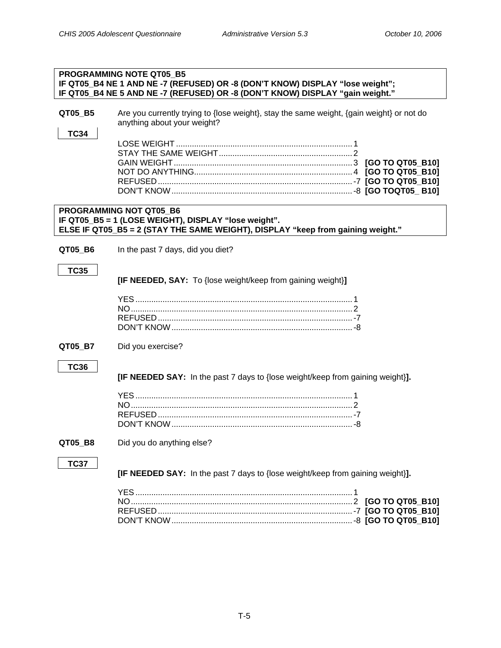| <b>PROGRAMMING NOTE QT05 B5</b><br>IF QT05_B4 NE 1 AND NE -7 (REFUSED) OR -8 (DON'T KNOW) DISPLAY "lose weight";<br>IF QT05_B4 NE 5 AND NE -7 (REFUSED) OR -8 (DON'T KNOW) DISPLAY "gain weight." |                                                                                                                                                                           |  |
|---------------------------------------------------------------------------------------------------------------------------------------------------------------------------------------------------|---------------------------------------------------------------------------------------------------------------------------------------------------------------------------|--|
| QT05_B5<br><b>TC34</b>                                                                                                                                                                            | Are you currently trying to {lose weight}, stay the same weight, {gain weight} or not do<br>anything about your weight?                                                   |  |
|                                                                                                                                                                                                   |                                                                                                                                                                           |  |
|                                                                                                                                                                                                   | <b>PROGRAMMING NOT QT05 B6</b><br>IF QT05_B5 = 1 (LOSE WEIGHT), DISPLAY "lose weight".<br>ELSE IF QT05_B5 = 2 (STAY THE SAME WEIGHT), DISPLAY "keep from gaining weight." |  |
| QT05_B6                                                                                                                                                                                           | In the past 7 days, did you diet?                                                                                                                                         |  |
| <b>TC35</b>                                                                                                                                                                                       | [IF NEEDED, SAY: To {lose weight/keep from gaining weight}]                                                                                                               |  |
|                                                                                                                                                                                                   |                                                                                                                                                                           |  |
| QT05_B7                                                                                                                                                                                           | Did you exercise?                                                                                                                                                         |  |
| <b>TC36</b>                                                                                                                                                                                       | [IF NEEDED SAY: In the past 7 days to {lose weight/keep from gaining weight}].                                                                                            |  |
|                                                                                                                                                                                                   |                                                                                                                                                                           |  |
| QT05 B8                                                                                                                                                                                           | Did you do anything else?                                                                                                                                                 |  |
| <b>TC37</b>                                                                                                                                                                                       | [IF NEEDED SAY: In the past 7 days to {lose weight/keep from gaining weight}].                                                                                            |  |
|                                                                                                                                                                                                   |                                                                                                                                                                           |  |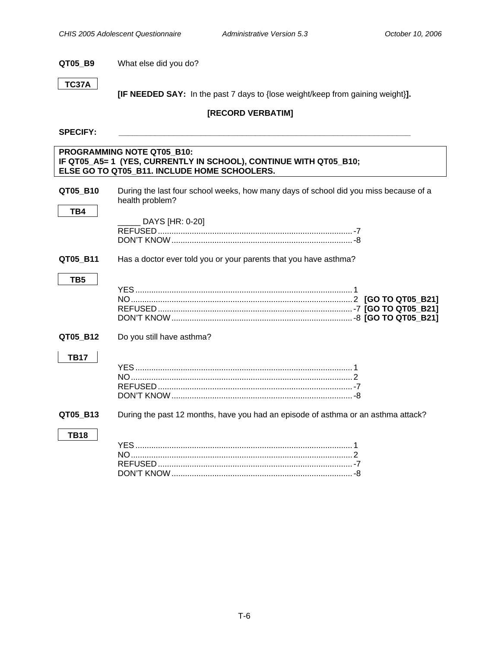### <span id="page-8-0"></span>**QT05\_B9** What else did you do?

### **TC37A**

 **[IF NEEDED SAY:** In the past 7 days to {lose weight/keep from gaining weight}**].**

### **[RECORD VERBATIM]**

### SPECIFY:

### **PROGRAMMING NOTE QT05\_B10: IF QT05\_A5= 1 (YES, CURRENTLY IN SCHOOL), CONTINUE WITH QT05\_B10; ELSE GO TO QT05\_B11. INCLUDE HOME SCHOOLERS.**

| QT05 B10        | During the last four school weeks, how many days of school did you miss because of a<br>health problem? |
|-----------------|---------------------------------------------------------------------------------------------------------|
| TB4             | DAYS [HR: 0-20]                                                                                         |
| QT05_B11        | Has a doctor ever told you or your parents that you have asthma?                                        |
| TB <sub>5</sub> |                                                                                                         |
| QT05_B12        | Do you still have asthma?                                                                               |
| <b>TB17</b>     |                                                                                                         |
| QT05_B13        | During the past 12 months, have you had an episode of asthma or an asthma attack?                       |
| <b>TB18</b>     | VES                                                                                                     |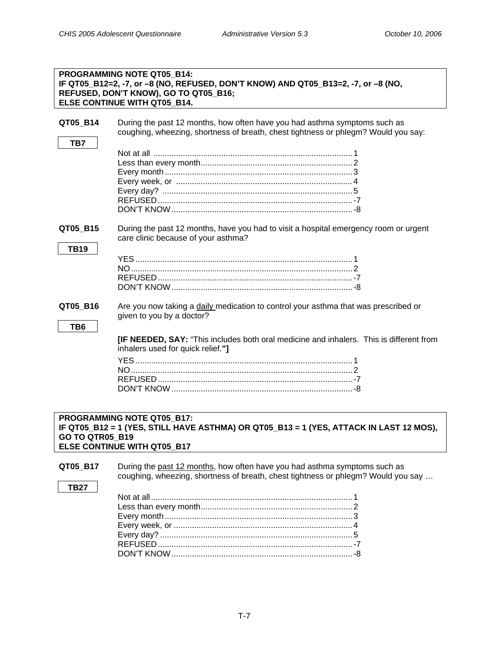|                             | <b>PROGRAMMING NOTE QT05 B14:</b><br>IF QT05_B12=2, -7, or -8 (NO, REFUSED, DON'T KNOW) AND QT05_B13=2, -7, or -8 (NO,<br>REFUSED, DON'T KNOW), GO TO QT05_B16;<br>ELSE CONTINUE WITH QT05 B14. |  |
|-----------------------------|-------------------------------------------------------------------------------------------------------------------------------------------------------------------------------------------------|--|
| QT05_B14<br>TB7             | During the past 12 months, how often have you had asthma symptoms such as<br>coughing, wheezing, shortness of breath, chest tightness or phlegm? Would you say:                                 |  |
|                             |                                                                                                                                                                                                 |  |
| QT05 B15<br><b>TB19</b>     | During the past 12 months, have you had to visit a hospital emergency room or urgent<br>care clinic because of your asthma?                                                                     |  |
|                             |                                                                                                                                                                                                 |  |
| QT05_B16<br>TB <sub>6</sub> | Are you now taking a daily medication to control your asthma that was prescribed or<br>given to you by a doctor?                                                                                |  |
|                             | <b>[IF NEEDED, SAY:</b> "This includes both oral medicine and inhalers. This is different from<br>inhalers used for quick relief."]                                                             |  |
| PROGRAMMING NOTE QT05 B17:  |                                                                                                                                                                                                 |  |

# **IF QT05\_B12 = 1 (YES, STILL HAVE ASTHMA) OR QT05\_B13 = 1 (YES, ATTACK IN LAST 12 MOS), GO TO QTR05\_B19 ELSE CONTINUE WITH QT05\_B17**

**QT05\_B17** During the past 12 months, how often have you had asthma symptoms such as coughing, wheezing, shortness of breath, chest tightness or phlegm? Would you say … **TB27**  Not at all ......................................................................................... 1 Less than every month................................................................... 2 Every month................................................................................... 3 Every week, or ............................................................................... 4 Every day? ..................................................................................... 5 REFUSED......................................................................................-7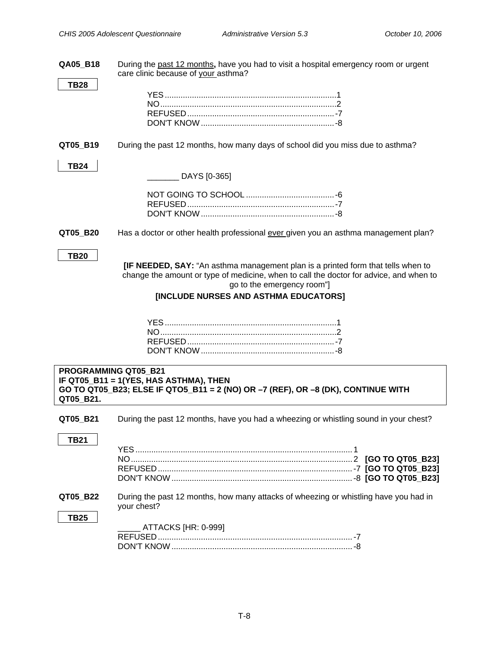| QA05_B18                          | During the past 12 months, have you had to visit a hospital emergency room or urgent<br>care clinic because of your asthma?                                                                                                                       |
|-----------------------------------|---------------------------------------------------------------------------------------------------------------------------------------------------------------------------------------------------------------------------------------------------|
| <b>TB28</b>                       |                                                                                                                                                                                                                                                   |
| QT05_B19                          | During the past 12 months, how many days of school did you miss due to asthma?                                                                                                                                                                    |
| <b>TB24</b>                       | DAYS [0-365]                                                                                                                                                                                                                                      |
|                                   |                                                                                                                                                                                                                                                   |
| QT05_B20                          | Has a doctor or other health professional ever given you an asthma management plan?                                                                                                                                                               |
| <b>TB20</b>                       | [IF NEEDED, SAY: "An asthma management plan is a printed form that tells when to<br>change the amount or type of medicine, when to call the doctor for advice, and when to<br>go to the emergency room"]<br>[INCLUDE NURSES AND ASTHMA EDUCATORS] |
|                                   |                                                                                                                                                                                                                                                   |
| PROGRAMMING QT05 B21<br>QT05_B21. | IF QT05_B11 = 1(YES, HAS ASTHMA), THEN<br>GO TO QT05_B23; ELSE IF QT05_B11 = 2 (NO) OR -7 (REF), OR -8 (DK), CONTINUE WITH                                                                                                                        |
| QT05_B21                          | During the past 12 months, have you had a wheezing or whistling sound in your chest?                                                                                                                                                              |
| <b>TB21</b>                       |                                                                                                                                                                                                                                                   |
| QT05_B22<br><b>TB25</b>           | During the past 12 months, how many attacks of wheezing or whistling have you had in<br>your chest?                                                                                                                                               |
|                                   | ATTACKS [HR: 0-999]                                                                                                                                                                                                                               |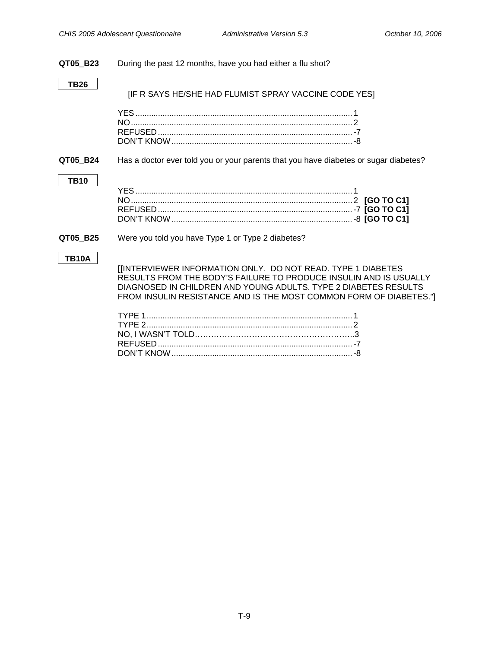<span id="page-11-0"></span>

| QT05 B23     | During the past 12 months, have you had either a flu shot?                                                                                                                                                                                                                       |
|--------------|----------------------------------------------------------------------------------------------------------------------------------------------------------------------------------------------------------------------------------------------------------------------------------|
| <b>TB26</b>  | [IF R SAYS HE/SHE HAD FLUMIST SPRAY VACCINE CODE YES]                                                                                                                                                                                                                            |
|              |                                                                                                                                                                                                                                                                                  |
| QT05_B24     | Has a doctor ever told you or your parents that you have diabetes or sugar diabetes?                                                                                                                                                                                             |
| <b>TB10</b>  |                                                                                                                                                                                                                                                                                  |
| QT05_B25     | Were you told you have Type 1 or Type 2 diabetes?                                                                                                                                                                                                                                |
| <b>TB10A</b> | <b>[INTERVIEWER INFORMATION ONLY. DO NOT READ. TYPE 1 DIABETES</b><br>RESULTS FROM THE BODY'S FAILURE TO PRODUCE INSULIN AND IS USUALLY<br>DIAGNOSED IN CHILDREN AND YOUNG ADULTS. TYPE 2 DIABETES RESULTS<br>FROM INSULIN RESISTANCE AND IS THE MOST COMMON FORM OF DIABETES."] |
|              |                                                                                                                                                                                                                                                                                  |

DON'T KNOW................................................................................-8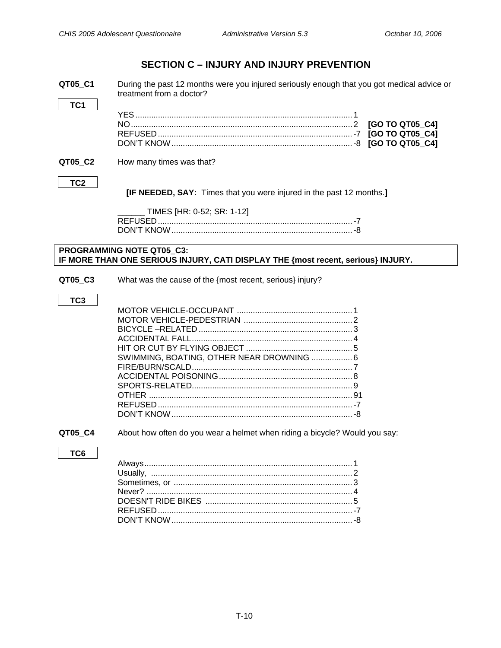# **SECTION C – INJURY AND INJURY PREVENTION**

<span id="page-12-0"></span>**QT05\_C1** During the past 12 months were you injured seriously enough that you got medical advice or treatment from a doctor?

### **QT05\_C2** How many times was that?

### **TC2**

**TC1** 

 **[IF NEEDED, SAY:** Times that you were injured in the past 12 months.**]** 

| TIMES [HR: 0-52; SR: 1-12] |
|----------------------------|
|                            |
|                            |

### **PROGRAMMING NOTE QT05\_C3: IF MORE THAN ONE SERIOUS INJURY, CATI DISPLAY THE {most recent, serious} INJURY.**

**QT05\_C3** What was the cause of the {most recent, serious} injury?

### **TC3**

| SWIMMING, BOATING, OTHER NEAR DROWNING  6 |  |
|-------------------------------------------|--|
|                                           |  |
|                                           |  |
|                                           |  |
|                                           |  |
|                                           |  |
|                                           |  |

**QT05\_C4** About how often do you wear a helmet when riding a bicycle? Would you say:

### **TC6**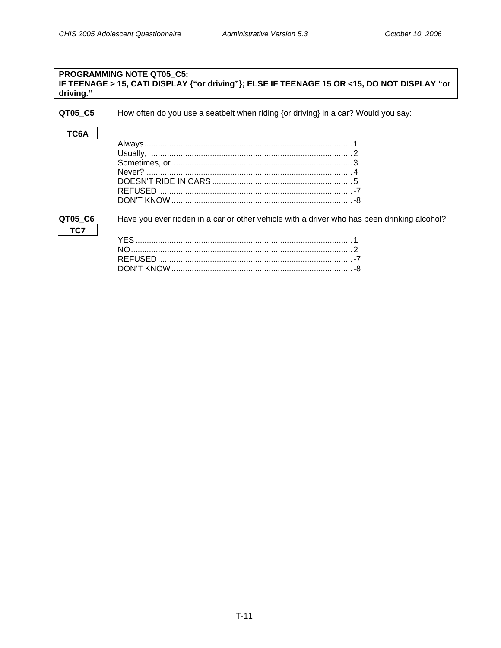### <span id="page-13-0"></span>**PROGRAMMING NOTE QT05\_C5: IF TEENAGE > 15, CATI DISPLAY {"or driving"}; ELSE IF TEENAGE 15 OR <15, DO NOT DISPLAY "or driving."**

**QT05\_C5** How often do you use a seatbelt when riding {or driving} in a car? Would you say:

### **TC6A**

**TC7** 

**QT05\_C6** Have you ever ridden in a car or other vehicle with a driver who has been drinking alcohol?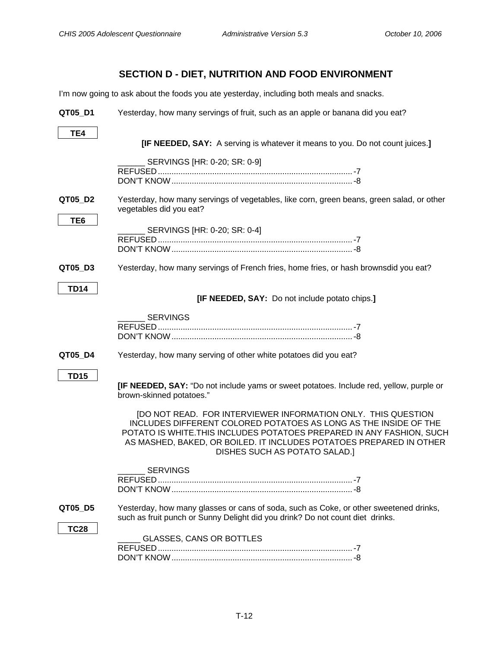# **SECTION D - DIET, NUTRITION AND FOOD ENVIRONMENT**

<span id="page-14-0"></span>I'm now going to ask about the foods you ate yesterday, including both meals and snacks.

| QT05_D1         | Yesterday, how many servings of fruit, such as an apple or banana did you eat?                                                                                                                                                                                                                                                                                                                                                                   |
|-----------------|--------------------------------------------------------------------------------------------------------------------------------------------------------------------------------------------------------------------------------------------------------------------------------------------------------------------------------------------------------------------------------------------------------------------------------------------------|
| TE4             | [IF NEEDED, SAY: A serving is whatever it means to you. Do not count juices.]                                                                                                                                                                                                                                                                                                                                                                    |
|                 | SERVINGS [HR: 0-20; SR: 0-9]                                                                                                                                                                                                                                                                                                                                                                                                                     |
| QT05 D2         | Yesterday, how many servings of vegetables, like corn, green beans, green salad, or other<br>vegetables did you eat?                                                                                                                                                                                                                                                                                                                             |
| TE <sub>6</sub> | SERVINGS [HR: 0-20; SR: 0-4]                                                                                                                                                                                                                                                                                                                                                                                                                     |
| QT05_D3         | Yesterday, how many servings of French fries, home fries, or hash brownsdid you eat?                                                                                                                                                                                                                                                                                                                                                             |
| <b>TD14</b>     | [IF NEEDED, SAY: Do not include potato chips.]                                                                                                                                                                                                                                                                                                                                                                                                   |
|                 | <b>SERVINGS</b>                                                                                                                                                                                                                                                                                                                                                                                                                                  |
| QT05_D4         | Yesterday, how many serving of other white potatoes did you eat?                                                                                                                                                                                                                                                                                                                                                                                 |
| <b>TD15</b>     | <b>[IF NEEDED, SAY:</b> "Do not include yams or sweet potatoes. Include red, yellow, purple or<br>brown-skinned potatoes."<br>[DO NOT READ. FOR INTERVIEWER INFORMATION ONLY. THIS QUESTION<br>INCLUDES DIFFERENT COLORED POTATOES AS LONG AS THE INSIDE OF THE<br>POTATO IS WHITE. THIS INCLUDES POTATOES PREPARED IN ANY FASHION, SUCH<br>AS MASHED, BAKED, OR BOILED. IT INCLUDES POTATOES PREPARED IN OTHER<br>DISHES SUCH AS POTATO SALAD.] |
|                 | <b>SERVINGS</b>                                                                                                                                                                                                                                                                                                                                                                                                                                  |
| QT05_D5         | Yesterday, how many glasses or cans of soda, such as Coke, or other sweetened drinks,<br>such as fruit punch or Sunny Delight did you drink? Do not count diet drinks.                                                                                                                                                                                                                                                                           |
| <b>TC28</b>     | GLASSES, CANS OR BOTTLES                                                                                                                                                                                                                                                                                                                                                                                                                         |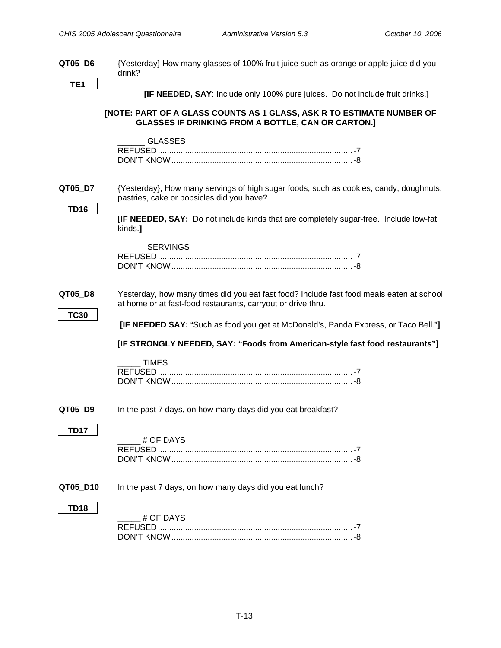<span id="page-15-0"></span>

| QT05_D6                | {Yesterday} How many glasses of 100% fruit juice such as orange or apple juice did you<br>drink?                                                          |
|------------------------|-----------------------------------------------------------------------------------------------------------------------------------------------------------|
| TE <sub>1</sub>        |                                                                                                                                                           |
|                        | <b>[IF NEEDED, SAY: Include only 100% pure juices. Do not include fruit drinks.]</b>                                                                      |
|                        | [NOTE: PART OF A GLASS COUNTS AS 1 GLASS, ASK R TO ESTIMATE NUMBER OF<br><b>GLASSES IF DRINKING FROM A BOTTLE, CAN OR CARTON.]</b>                        |
|                        | <b>GLASSES</b>                                                                                                                                            |
| QT05_D7                | {Yesterday}, How many servings of high sugar foods, such as cookies, candy, doughnuts,<br>pastries, cake or popsicles did you have?                       |
| <b>TD16</b>            | [IF NEEDED, SAY: Do not include kinds that are completely sugar-free. Include low-fat<br>kinds.]                                                          |
|                        | <b>SERVINGS</b>                                                                                                                                           |
| QT05_D8<br><b>TC30</b> | Yesterday, how many times did you eat fast food? Include fast food meals eaten at school,<br>at home or at fast-food restaurants, carryout or drive thru. |
|                        | [IF NEEDED SAY: "Such as food you get at McDonald's, Panda Express, or Taco Bell."]                                                                       |
|                        | [IF STRONGLY NEEDED, SAY: "Foods from American-style fast food restaurants"]                                                                              |
|                        | <b>TIMES</b>                                                                                                                                              |
| QT05 D9                | In the past 7 days, on how many days did you eat breakfast?                                                                                               |
| <b>TD17</b>            | # OF DAYS                                                                                                                                                 |
| QT05 D10               | In the past 7 days, on how many days did you eat lunch?                                                                                                   |
| <b>TD18</b>            | # OF DAYS                                                                                                                                                 |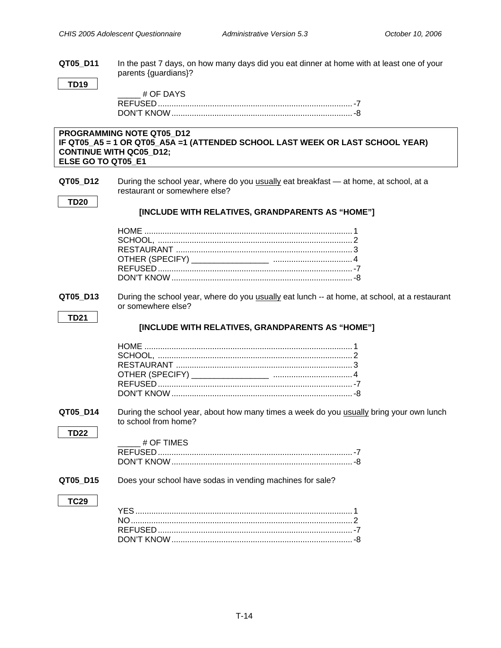**QT05\_D11** In the past 7 days, on how many days did you eat dinner at home with at least one of your parents {guardians}?

### **TD19**

| # OF DAYS |  |
|-----------|--|
|           |  |
|           |  |

### **PROGRAMMING NOTE QT05\_D12 IF QT05\_A5 = 1 OR QT05\_A5A =1 (ATTENDED SCHOOL LAST WEEK OR LAST SCHOOL YEAR) CONTINUE WITH QC05\_D12; ELSE GO TO QT05\_E1**

**QT05 D12** During the school year, where do you usually eat breakfast — at home, at school, at a restaurant or somewhere else?

**TD20** 

### **[INCLUDE WITH RELATIVES, GRANDPARENTS AS "HOME"]**

**QT05\_D13** During the school year, where do you usually eat lunch -- at home, at school, at a restaurant or somewhere else?

### **TD21**

### **[INCLUDE WITH RELATIVES, GRANDPARENTS AS "HOME"]**

**QT05 D14** During the school year, about how many times a week do you usually bring your own lunch to school from home?

### **TD22**

\_\_\_\_\_ # OF TIMES REFUSED......................................................................................-7 DON'T KNOW................................................................................-8

**QT05\_D15** Does your school have sodas in vending machines for sale?

### **TC29**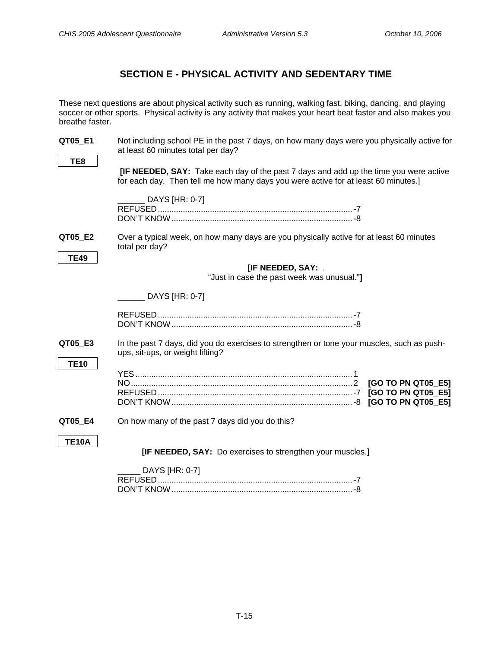# **SECTION E - PHYSICAL ACTIVITY AND SEDENTARY TIME**

<span id="page-17-0"></span>These next questions are about physical activity such as running, walking fast, biking, dancing, and playing soccer or other sports. Physical activity is any activity that makes your heart beat faster and also makes you breathe faster.

| QT05_E1                | Not including school PE in the past 7 days, on how many days were you physically active for<br>at least 60 minutes total per day?                                                  |
|------------------------|------------------------------------------------------------------------------------------------------------------------------------------------------------------------------------|
| TE8                    |                                                                                                                                                                                    |
|                        | <b>[IF NEEDED, SAY:</b> Take each day of the past 7 days and add up the time you were active<br>for each day. Then tell me how many days you were active for at least 60 minutes.] |
|                        | DAYS [HR: 0-7]                                                                                                                                                                     |
| QT05 E2<br><b>TE49</b> | Over a typical week, on how many days are you physically active for at least 60 minutes<br>total per day?                                                                          |
|                        | [IF NEEDED, SAY: .                                                                                                                                                                 |
|                        | "Just in case the past week was unusual."]                                                                                                                                         |
|                        |                                                                                                                                                                                    |
|                        | DAYS [HR: 0-7]                                                                                                                                                                     |
|                        |                                                                                                                                                                                    |
| QT05 E3                | In the past 7 days, did you do exercises to strengthen or tone your muscles, such as push-<br>ups, sit-ups, or weight lifting?                                                     |
| <b>TE10</b>            | [GO TO PN QT05_E5]<br>[GO TO PN QT05 E5]<br>[GO TO PN QT05 E5]                                                                                                                     |
| QT05 E4                | On how many of the past 7 days did you do this?                                                                                                                                    |
| <b>TE10A</b>           | [IF NEEDED, SAY: Do exercises to strengthen your muscles.]                                                                                                                         |
|                        | DAYS [HR: 0-7]                                                                                                                                                                     |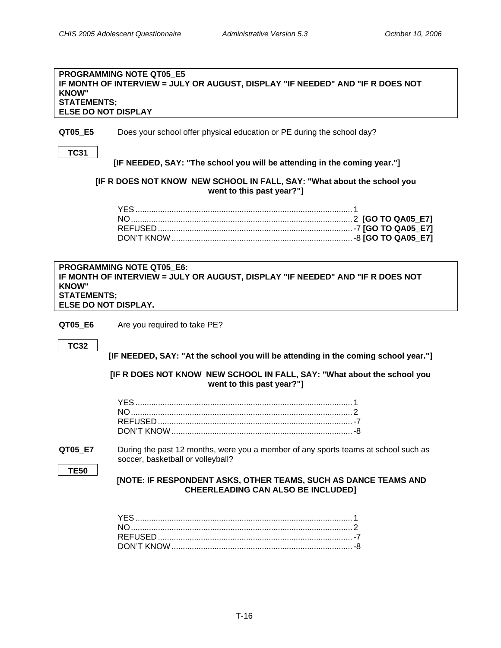### <span id="page-18-0"></span>**PROGRAMMING NOTE QT05\_E5 IF MONTH OF INTERVIEW = JULY OR AUGUST, DISPLAY "IF NEEDED" AND "IF R DOES NOT KNOW" STATEMENTS; ELSE DO NOT DISPLAY**

**QT05\_E5** Does your school offer physical education or PE during the school day?

**TC31** 

 **[IF NEEDED, SAY: "The school you will be attending in the coming year."]** 

**[IF R DOES NOT KNOW NEW SCHOOL IN FALL, SAY: "What about the school you went to this past year?"]**

| <b>PROGRAMMING NOTE QT05 E6:</b>                                               |
|--------------------------------------------------------------------------------|
| IF MONTH OF INTERVIEW = JULY OR AUGUST, DISPLAY "IF NEEDED" AND "IF R DOES NOT |
| <b>KNOW"</b>                                                                   |
| <b>STATEMENTS:</b>                                                             |
| <b>ELSE DO NOT DISPLAY.</b>                                                    |

**QT05 E6** Are you required to take PE?

**TC32** 

 **[IF NEEDED, SAY: "At the school you will be attending in the coming school year."]** 

**[IF R DOES NOT KNOW NEW SCHOOL IN FALL, SAY: "What about the school you went to this past year?"]**

**QT05\_E7** During the past 12 months, were you a member of any sports teams at school such as soccer, basketball or volleyball?

**TE50** 

 **[NOTE: IF RESPONDENT ASKS, OTHER TEAMS, SUCH AS DANCE TEAMS AND CHEERLEADING CAN ALSO BE INCLUDED]**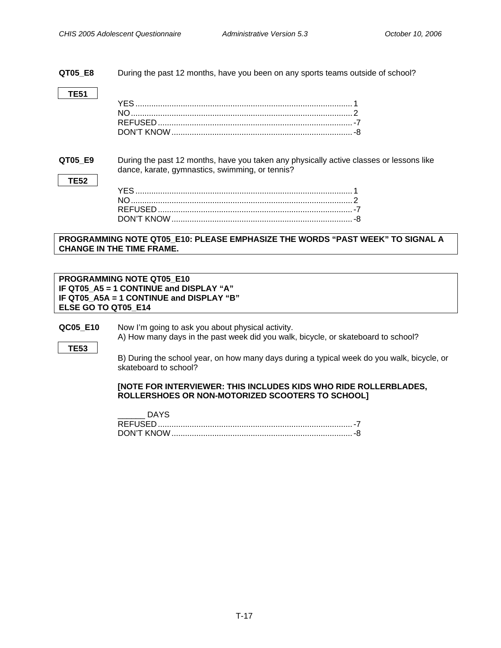<span id="page-19-0"></span>**QT05\_E8** During the past 12 months, have you been on any sports teams outside of school?

**TE51** 

**TE52** 

**QT05\_E9** During the past 12 months, have you taken any physically active classes or lessons like dance, karate, gymnastics, swimming, or tennis?

### **PROGRAMMING NOTE QT05\_E10: PLEASE EMPHASIZE THE WORDS "PAST WEEK" TO SIGNAL A CHANGE IN THE TIME FRAME.**

**PROGRAMMING NOTE QT05\_E10 IF QT05\_A5 = 1 CONTINUE and DISPLAY "A" IF QT05\_A5A = 1 CONTINUE and DISPLAY "B" ELSE GO TO QT05\_E14**

**QC05\_E10** Now I'm going to ask you about physical activity.

A) How many days in the past week did you walk, bicycle, or skateboard to school? **TE53** 

> B) During the school year, on how many days during a typical week do you walk, bicycle, or skateboard to school?

### **[NOTE FOR INTERVIEWER: THIS INCLUDES KIDS WHO RIDE ROLLERBLADES, ROLLERSHOES OR NON-MOTORIZED SCOOTERS TO SCHOOL]**

| <b>REFUSED</b> |  |
|----------------|--|
| DON'T KNOW     |  |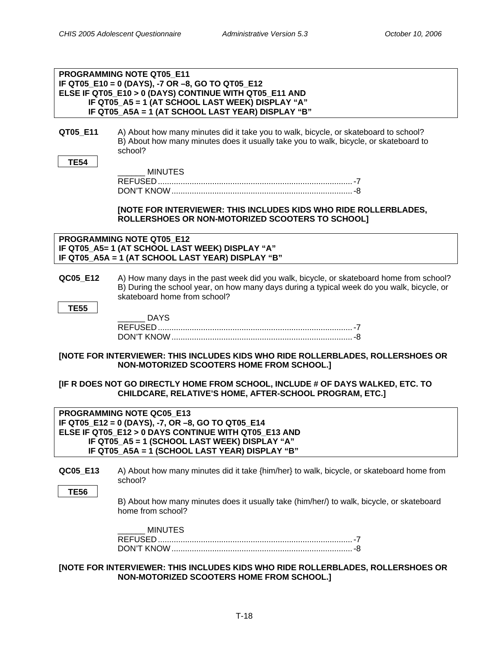|                                                                                                                                                                                                                                           | PROGRAMMING NOTE QT05 E11<br>IF QT05_E10 = 0 (DAYS), -7 OR -8, GO TO QT05_E12                                                                                                            |
|-------------------------------------------------------------------------------------------------------------------------------------------------------------------------------------------------------------------------------------------|------------------------------------------------------------------------------------------------------------------------------------------------------------------------------------------|
|                                                                                                                                                                                                                                           | ELSE IF QT05 E10 > 0 (DAYS) CONTINUE WITH QT05 E11 AND                                                                                                                                   |
|                                                                                                                                                                                                                                           | IF QT05_A5 = 1 (AT SCHOOL LAST WEEK) DISPLAY "A"                                                                                                                                         |
|                                                                                                                                                                                                                                           | IF QT05_A5A = 1 (AT SCHOOL LAST YEAR) DISPLAY "B"                                                                                                                                        |
| QT05_E11                                                                                                                                                                                                                                  | A) About how many minutes did it take you to walk, bicycle, or skateboard to school?<br>B) About how many minutes does it usually take you to walk, bicycle, or skateboard to<br>school? |
| <b>TE54</b>                                                                                                                                                                                                                               |                                                                                                                                                                                          |
|                                                                                                                                                                                                                                           | <b>MINUTES</b>                                                                                                                                                                           |
|                                                                                                                                                                                                                                           |                                                                                                                                                                                          |
|                                                                                                                                                                                                                                           |                                                                                                                                                                                          |
|                                                                                                                                                                                                                                           | [NOTE FOR INTERVIEWER: THIS INCLUDES KIDS WHO RIDE ROLLERBLADES,<br>ROLLERSHOES OR NON-MOTORIZED SCOOTERS TO SCHOOL]                                                                     |
|                                                                                                                                                                                                                                           | PROGRAMMING NOTE QT05 E12<br>IF QT05_A5= 1 (AT SCHOOL LAST WEEK) DISPLAY "A"                                                                                                             |
|                                                                                                                                                                                                                                           | IF QT05_A5A = 1 (AT SCHOOL LAST YEAR) DISPLAY "B"                                                                                                                                        |
| QC05 E12                                                                                                                                                                                                                                  | A) How many days in the past week did you walk, bicycle, or skateboard home from school?<br>B) During the school year, on how many days during a typical week do you walk, bicycle, or   |
|                                                                                                                                                                                                                                           | skateboard home from school?                                                                                                                                                             |
| <b>TE55</b>                                                                                                                                                                                                                               |                                                                                                                                                                                          |
|                                                                                                                                                                                                                                           | <b>DAYS</b>                                                                                                                                                                              |
|                                                                                                                                                                                                                                           |                                                                                                                                                                                          |
|                                                                                                                                                                                                                                           |                                                                                                                                                                                          |
|                                                                                                                                                                                                                                           | [NOTE FOR INTERVIEWER: THIS INCLUDES KIDS WHO RIDE ROLLERBLADES, ROLLERSHOES OR<br>NON-MOTORIZED SCOOTERS HOME FROM SCHOOL.]                                                             |
|                                                                                                                                                                                                                                           | [IF R DOES NOT GO DIRECTLY HOME FROM SCHOOL, INCLUDE # OF DAYS WALKED, ETC. TO<br>CHILDCARE, RELATIVE'S HOME, AFTER-SCHOOL PROGRAM, ETC.]                                                |
| PROGRAMMING NOTE QC05 E13<br>IF QT05_E12 = 0 (DAYS), -7, OR -8, GO TO QT05_E14<br>ELSE IF QT05_E12 > 0 DAYS CONTINUE WITH QT05_E13 AND<br>IF QT05_A5 = 1 (SCHOOL LAST WEEK) DISPLAY "A"<br>IF QT05_A5A = 1 (SCHOOL LAST YEAR) DISPLAY "B" |                                                                                                                                                                                          |
| QC05_E13                                                                                                                                                                                                                                  | A) About how many minutes did it take {him/her} to walk, bicycle, or skateboard home from<br>school?                                                                                     |
| <b>TE56</b>                                                                                                                                                                                                                               |                                                                                                                                                                                          |
|                                                                                                                                                                                                                                           | B) About how many minutes does it usually take (him/her/) to walk, bicycle, or skateboard<br>home from school?                                                                           |
|                                                                                                                                                                                                                                           | <b>MINUTES</b>                                                                                                                                                                           |
|                                                                                                                                                                                                                                           |                                                                                                                                                                                          |
|                                                                                                                                                                                                                                           |                                                                                                                                                                                          |
|                                                                                                                                                                                                                                           | WED. THE INCLUDES KIDS WHO DIDE DOLLEDDLADES DOLLEDSHOES ON                                                                                                                              |

**[NOTE FOR INTERVIEWER: THIS INCLUDES KIDS WHO RIDE ROLLERBLADES, ROLLERSHOES OR NON-MOTORIZED SCOOTERS HOME FROM SCHOOL.]**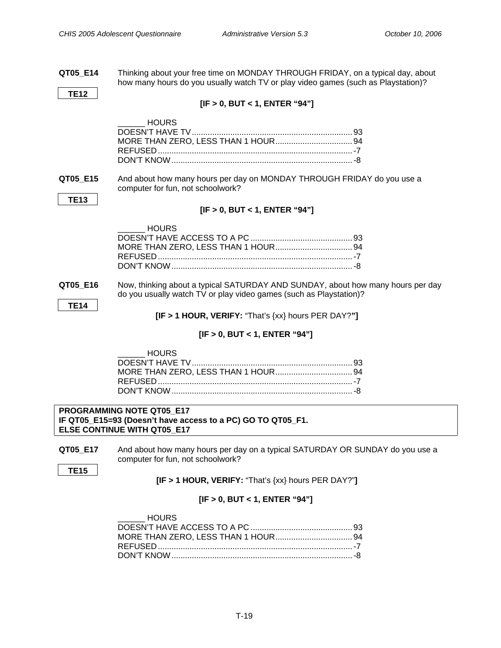<span id="page-21-0"></span>

| QT05_E14                      | Thinking about your free time on MONDAY THROUGH FRIDAY, on a typical day, about<br>how many hours do you usually watch TV or play video games (such as Playstation)?                                               |  |
|-------------------------------|--------------------------------------------------------------------------------------------------------------------------------------------------------------------------------------------------------------------|--|
| <b>TE12</b>                   |                                                                                                                                                                                                                    |  |
|                               | [IF > 0, BUT < 1, ENTER "94"]                                                                                                                                                                                      |  |
|                               | <b>HOURS</b>                                                                                                                                                                                                       |  |
| QT05_E15                      | And about how many hours per day on MONDAY THROUGH FRIDAY do you use a<br>computer for fun, not schoolwork?                                                                                                        |  |
| <b>TE13</b>                   | [IF > 0, BUT < 1, ENTER "94"]                                                                                                                                                                                      |  |
|                               | <b>HOURS</b>                                                                                                                                                                                                       |  |
| QT05_E16<br><b>TE14</b>       | Now, thinking about a typical SATURDAY AND SUNDAY, about how many hours per day<br>do you usually watch TV or play video games (such as Playstation)?<br>$[IF > 1$ HOUR, VERIFY: "That's $\{xx\}$ hours PER DAY?"] |  |
|                               | [IF > 0, BUT < 1, ENTER "94"]                                                                                                                                                                                      |  |
|                               | <b>HOURS</b>                                                                                                                                                                                                       |  |
|                               | PROGRAMMING NOTE QT05_E17<br>IF QT05_E15=93 (Doesn't have access to a PC) GO TO QT05_F1.<br><b>ELSE CONTINUE WITH QT05 E17</b>                                                                                     |  |
| QT05_E17<br><b>TE15</b>       | And about how many hours per day on a typical SATURDAY OR SUNDAY do you use a<br>computer for fun, not schoolwork?                                                                                                 |  |
|                               | $[IF > 1$ HOUR, VERIFY: "That's $\{xx\}$ hours PER DAY?"]                                                                                                                                                          |  |
| [IF > 0, BUT < 1, ENTER "94"] |                                                                                                                                                                                                                    |  |
|                               | <b>HOURS</b>                                                                                                                                                                                                       |  |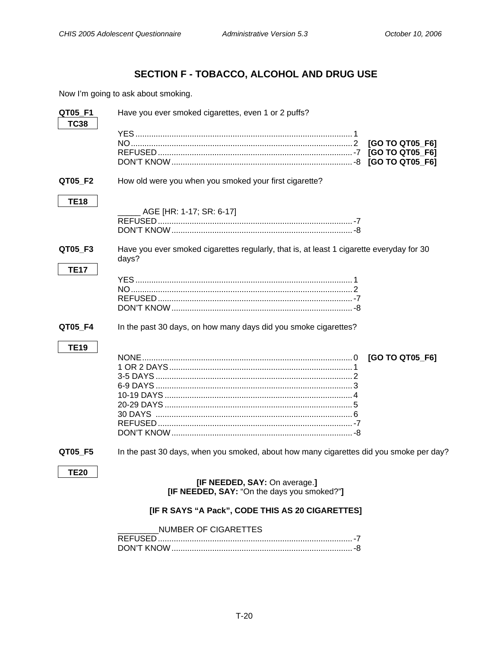# SECTION F - TOBACCO, ALCOHOL AND DRUG USE

<span id="page-22-0"></span>Now I'm going to ask about smoking.

| QT05_F1     | Have you ever smoked cigarettes, even 1 or 2 puffs?                                                                              |
|-------------|----------------------------------------------------------------------------------------------------------------------------------|
| <b>TC38</b> | [GO TO QT05_F6]<br>[GO TO QT05_F6]<br>[GO TO QT05_F6]                                                                            |
| QT05_F2     | How old were you when you smoked your first cigarette?                                                                           |
| <b>TE18</b> | AGE [HR: 1-17; SR: 6-17]                                                                                                         |
| QT05_F3     | Have you ever smoked cigarettes regularly, that is, at least 1 cigarette everyday for 30<br>days?                                |
| <b>TE17</b> |                                                                                                                                  |
| QT05_F4     | In the past 30 days, on how many days did you smoke cigarettes?                                                                  |
| <b>TE19</b> | [GO TO QT05_F6]                                                                                                                  |
| QT05_F5     | In the past 30 days, when you smoked, about how many cigarettes did you smoke per day?                                           |
| <b>TE20</b> | [IF NEEDED, SAY: On average.]<br>[IF NEEDED, SAY: "On the days you smoked?"]<br>[IF R SAYS "A Pack", CODE THIS AS 20 CIGARETTES] |
|             | <b>NUMBER OF CIGARETTES</b>                                                                                                      |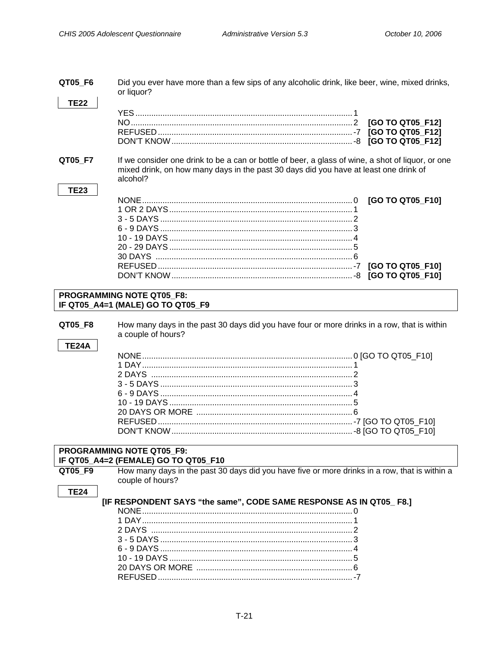<span id="page-23-0"></span>

| QT05_F6      | Did you ever have more than a few sips of any alcoholic drink, like beer, wine, mixed drinks,<br>or liquor? |                         |  |
|--------------|-------------------------------------------------------------------------------------------------------------|-------------------------|--|
| <b>TE22</b>  |                                                                                                             |                         |  |
|              |                                                                                                             |                         |  |
|              |                                                                                                             | [GO TO QT05_F12]        |  |
|              |                                                                                                             |                         |  |
|              |                                                                                                             |                         |  |
|              |                                                                                                             |                         |  |
| QT05_F7      | If we consider one drink to be a can or bottle of beer, a glass of wine, a shot of liquor, or one           |                         |  |
|              | mixed drink, on how many days in the past 30 days did you have at least one drink of                        |                         |  |
|              | alcohol?                                                                                                    |                         |  |
| <b>TE23</b>  |                                                                                                             |                         |  |
|              |                                                                                                             |                         |  |
|              |                                                                                                             | [GO TO QT05_F10]        |  |
|              |                                                                                                             |                         |  |
|              |                                                                                                             |                         |  |
|              |                                                                                                             |                         |  |
|              |                                                                                                             |                         |  |
|              |                                                                                                             |                         |  |
|              |                                                                                                             |                         |  |
|              |                                                                                                             | [GO TO QT05 F10]        |  |
|              |                                                                                                             | <b>IGO TO QT05 F101</b> |  |
|              |                                                                                                             |                         |  |
|              | <b>PROGRAMMING NOTE QT05 F8:</b>                                                                            |                         |  |
|              | IF QT05_A4=1 (MALE) GO TO QT05_F9                                                                           |                         |  |
|              |                                                                                                             |                         |  |
| QT05_F8      | How many days in the past 30 days did you have four or more drinks in a row, that is within                 |                         |  |
|              | a couple of hours?                                                                                          |                         |  |
| <b>TE24A</b> |                                                                                                             |                         |  |
|              |                                                                                                             |                         |  |
|              |                                                                                                             |                         |  |
|              |                                                                                                             |                         |  |
|              |                                                                                                             |                         |  |
|              |                                                                                                             |                         |  |
|              |                                                                                                             |                         |  |
|              |                                                                                                             |                         |  |
|              |                                                                                                             |                         |  |
|              |                                                                                                             |                         |  |
|              |                                                                                                             |                         |  |
|              |                                                                                                             |                         |  |
|              |                                                                                                             |                         |  |
|              | PROGRAMMING NOTE QT05 F9:                                                                                   |                         |  |
|              | IF QT05_A4=2 (FEMALE) GO TO QT05_F10                                                                        |                         |  |
| QT05 F9      | How many days in the past 30 days did you have five or more drinks in a row, that is within a               |                         |  |
|              | couple of hours?                                                                                            |                         |  |
| <b>TE24</b>  |                                                                                                             |                         |  |
|              | [IF RESPONDENT SAYS "the same", CODE SAME RESPONSE AS IN QT05_F8.]                                          |                         |  |
|              |                                                                                                             |                         |  |
|              |                                                                                                             |                         |  |
|              |                                                                                                             |                         |  |
|              |                                                                                                             |                         |  |
|              |                                                                                                             |                         |  |
|              |                                                                                                             |                         |  |
|              |                                                                                                             |                         |  |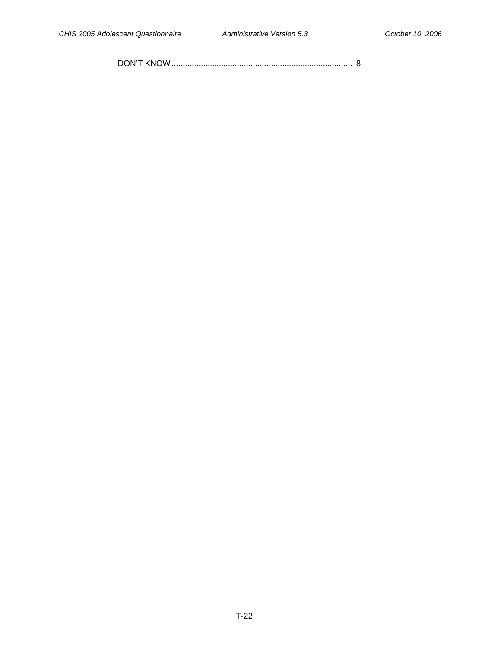DON'T KNOW................................................................................-8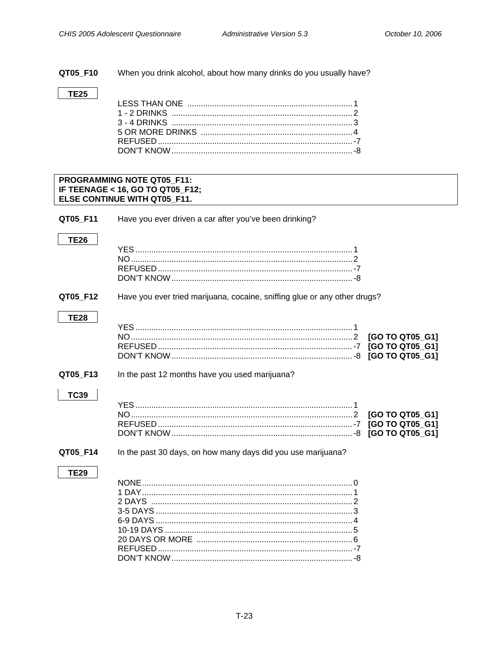<span id="page-25-0"></span>QT05\_F10 When you drink alcohol, about how many drinks do you usually have?

### **TE25**

### PROGRAMMING NOTE QT05\_F11: IF TEENAGE < 16, GO TO QT05\_F12; ELSE CONTINUE WITH QT05\_F11.

QT05\_F11 Have you ever driven a car after you've been drinking?

QT05\_F12 Have you ever tried marijuana, cocaine, sniffing glue or any other drugs?

QT05 F13 In the past 12 months have you used marijuana?

# **TC39**

#### QT05\_F14 In the past 30 days, on how many days did you use marijuana?

### **TE29**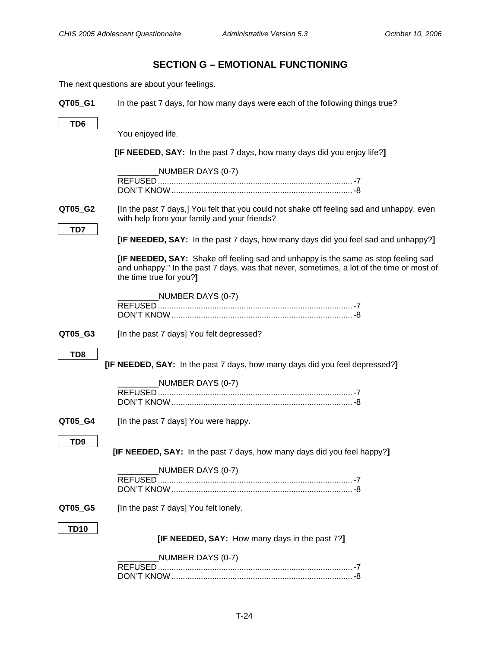# **SECTION G – EMOTIONAL FUNCTIONING**

<span id="page-26-0"></span>The next questions are about your feelings.

| QT05_G1         | In the past 7 days, for how many days were each of the following things true?                                                                                                                                     |
|-----------------|-------------------------------------------------------------------------------------------------------------------------------------------------------------------------------------------------------------------|
| TD6             |                                                                                                                                                                                                                   |
|                 | You enjoyed life.                                                                                                                                                                                                 |
|                 | [IF NEEDED, SAY: In the past 7 days, how many days did you enjoy life?]                                                                                                                                           |
|                 | NUMBER DAYS (0-7)                                                                                                                                                                                                 |
|                 |                                                                                                                                                                                                                   |
|                 |                                                                                                                                                                                                                   |
| QT05_G2         | [In the past 7 days,] You felt that you could not shake off feeling sad and unhappy, even<br>with help from your family and your friends?                                                                         |
| TD7             | [IF NEEDED, SAY: In the past 7 days, how many days did you feel sad and unhappy?]                                                                                                                                 |
|                 | <b>[IF NEEDED, SAY:</b> Shake off feeling sad and unhappy is the same as stop feeling sad<br>and unhappy." In the past 7 days, was that never, sometimes, a lot of the time or most of<br>the time true for you?] |
|                 | NUMBER DAYS (0-7)                                                                                                                                                                                                 |
|                 |                                                                                                                                                                                                                   |
|                 |                                                                                                                                                                                                                   |
| QT05_G3         | [In the past 7 days] You felt depressed?                                                                                                                                                                          |
| TD <sub>8</sub> |                                                                                                                                                                                                                   |
|                 | [IF NEEDED, SAY: In the past 7 days, how many days did you feel depressed?]                                                                                                                                       |
|                 |                                                                                                                                                                                                                   |
|                 | NUMBER DAYS (0-7)                                                                                                                                                                                                 |
|                 |                                                                                                                                                                                                                   |
| QT05_G4         | [In the past 7 days] You were happy.                                                                                                                                                                              |
|                 |                                                                                                                                                                                                                   |
| TD <sub>9</sub> | [IF NEEDED, SAY: In the past 7 days, how many days did you feel happy?]                                                                                                                                           |
|                 |                                                                                                                                                                                                                   |
|                 | NUMBER DAYS (0-7)                                                                                                                                                                                                 |
|                 |                                                                                                                                                                                                                   |
| QT05 G5         | [In the past 7 days] You felt lonely.                                                                                                                                                                             |
|                 |                                                                                                                                                                                                                   |
| <b>TD10</b>     | [IF NEEDED, SAY: How many days in the past 7?]                                                                                                                                                                    |
|                 |                                                                                                                                                                                                                   |
|                 | NUMBER DAYS (0-7)                                                                                                                                                                                                 |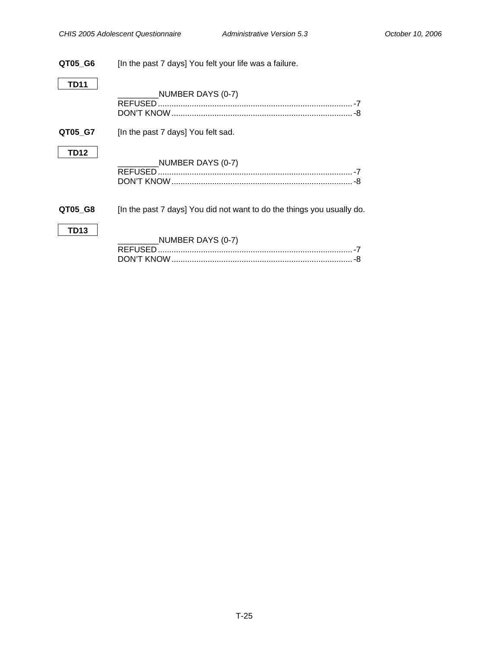# **QT05\_G6** [In the past 7 days] You felt your life was a failure. **TD11**  \_\_\_\_\_\_\_\_\_NUMBER DAYS (0-7) REFUSED......................................................................................-7 DON'T KNOW................................................................................-8 **QT05\_G7** [In the past 7 days] You felt sad. **TD12**   $_L$ NUMBER DAYS (0-7) REFUSED......................................................................................-7 DON'T KNOW................................................................................-8 **QT05\_G8** [In the past 7 days] You did not want to do the things you usually do. **TD13**  \_\_\_\_\_\_\_\_\_NUMBER DAYS (0-7) REFUSED......................................................................................-7 DON'T KNOW................................................................................-8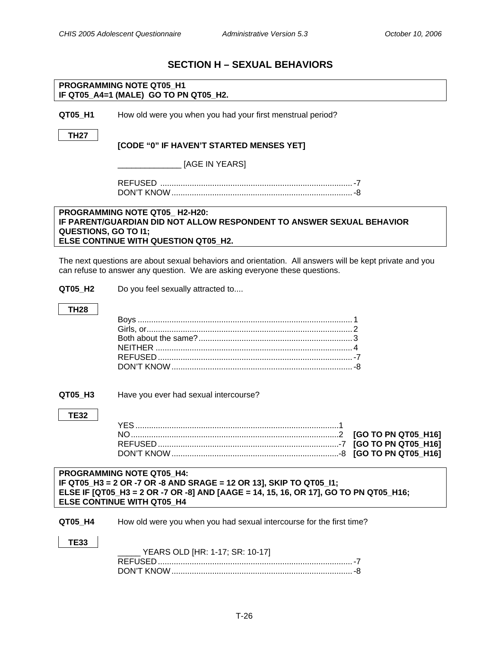# **SECTION H – SEXUAL BEHAVIORS**

<span id="page-28-0"></span>

|                                                                                                                                                                                                                                     | PROGRAMMING NOTE QT05 H1<br>IF QT05_A4=1 (MALE) GO TO PN QT05_H2.                                                                                                                     |  |
|-------------------------------------------------------------------------------------------------------------------------------------------------------------------------------------------------------------------------------------|---------------------------------------------------------------------------------------------------------------------------------------------------------------------------------------|--|
|                                                                                                                                                                                                                                     |                                                                                                                                                                                       |  |
| QT05_H1                                                                                                                                                                                                                             | How old were you when you had your first menstrual period?                                                                                                                            |  |
| <b>TH27</b>                                                                                                                                                                                                                         |                                                                                                                                                                                       |  |
|                                                                                                                                                                                                                                     | [CODE "0" IF HAVEN'T STARTED MENSES YET]                                                                                                                                              |  |
|                                                                                                                                                                                                                                     | [AGE IN YEARS]                                                                                                                                                                        |  |
|                                                                                                                                                                                                                                     |                                                                                                                                                                                       |  |
|                                                                                                                                                                                                                                     |                                                                                                                                                                                       |  |
| <b>QUESTIONS, GO TO I1;</b>                                                                                                                                                                                                         | PROGRAMMING NOTE QT05_H2-H20:<br>IF PARENT/GUARDIAN DID NOT ALLOW RESPONDENT TO ANSWER SEXUAL BEHAVIOR<br>ELSE CONTINUE WITH QUESTION QT05 H2.                                        |  |
|                                                                                                                                                                                                                                     | The next questions are about sexual behaviors and orientation. All answers will be kept private and you<br>can refuse to answer any question. We are asking everyone these questions. |  |
| QT05_H2                                                                                                                                                                                                                             | Do you feel sexually attracted to                                                                                                                                                     |  |
| <b>TH28</b>                                                                                                                                                                                                                         |                                                                                                                                                                                       |  |
|                                                                                                                                                                                                                                     |                                                                                                                                                                                       |  |
|                                                                                                                                                                                                                                     |                                                                                                                                                                                       |  |
|                                                                                                                                                                                                                                     |                                                                                                                                                                                       |  |
|                                                                                                                                                                                                                                     |                                                                                                                                                                                       |  |
|                                                                                                                                                                                                                                     |                                                                                                                                                                                       |  |
| QT05_H3                                                                                                                                                                                                                             | Have you ever had sexual intercourse?                                                                                                                                                 |  |
| <b>TE32</b>                                                                                                                                                                                                                         |                                                                                                                                                                                       |  |
|                                                                                                                                                                                                                                     | [GO TO PN QT05_H16]                                                                                                                                                                   |  |
|                                                                                                                                                                                                                                     |                                                                                                                                                                                       |  |
|                                                                                                                                                                                                                                     |                                                                                                                                                                                       |  |
| <b>PROGRAMMING NOTE QT05_H4:</b><br>IF QT05_H3 = 2 OR -7 OR -8 AND SRAGE = 12 OR 13], SKIP TO QT05_I1;<br>ELSE IF [QT05_H3 = 2 OR -7 OR -8] AND [AAGE = 14, 15, 16, OR 17], GO TO PN QT05_H16;<br><b>ELSE CONTINUE WITH QT05 H4</b> |                                                                                                                                                                                       |  |
| QT05_H4                                                                                                                                                                                                                             | How old were you when you had sexual intercourse for the first time?                                                                                                                  |  |
| <b>TE33</b>                                                                                                                                                                                                                         | YEARS OLD [HR: 1-17; SR: 10-17]                                                                                                                                                       |  |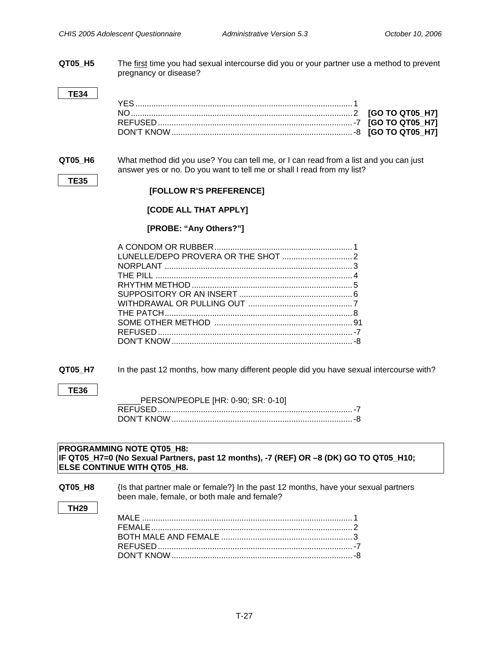**QT05\_H5** The first time you had sexual intercourse did you or your partner use a method to prevent pregnancy or disease?

**QT05\_H6** What method did you use? You can tell me, or I can read from a list and you can just answer yes or no. Do you want to tell me or shall I read from my list?

# **[FOLLOW R'S PREFERENCE]**

### **[CODE ALL THAT APPLY]**

### **[PROBE: "Any Others?"]**

**QT05\_H7** In the past 12 months, how many different people did you have sexual intercourse with?

### **TE36**

**TE35** 

| PERSON/PEOPLE [HR: 0-90; SR: 0-10] |  |
|------------------------------------|--|
|                                    |  |
|                                    |  |

### **PROGRAMMING NOTE QT05\_H8: IF QT05\_H7=0 (No Sexual Partners, past 12 months), -7 (REF) OR –8 (DK) GO TO QT05\_H10; ELSE CONTINUE WITH QT05\_H8.**

| QT05 H8 | {Is that partner male or female?} In the past 12 months, have your sexual partners |
|---------|------------------------------------------------------------------------------------|
|         | been male, female, or both male and female?                                        |

### **TH29**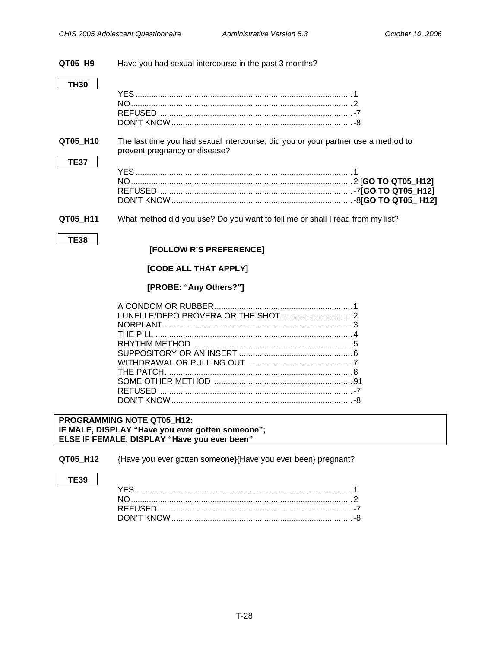#### <span id="page-30-0"></span>QT05\_H9 Have you had sexual intercourse in the past 3 months?

### $TH30$

QT05 H10 The last time you had sexual intercourse, did you or your partner use a method to prevent pregnancy or disease?

What method did you use? Do you want to tell me or shall I read from my list? QT05\_H11

### **TE38**

**TE37** 

### [FOLLOW R'S PREFERENCE]

### [CODE ALL THAT APPLY]

### [PROBE: "Any Others?"]

PROGRAMMING NOTE QT05\_H12: IF MALE, DISPLAY "Have you ever gotten someone"; ELSE IF FEMALE, DISPLAY "Have you ever been"

QT05\_H12 {Have you ever gotten someone}{Have you ever been} pregnant?

**TE39**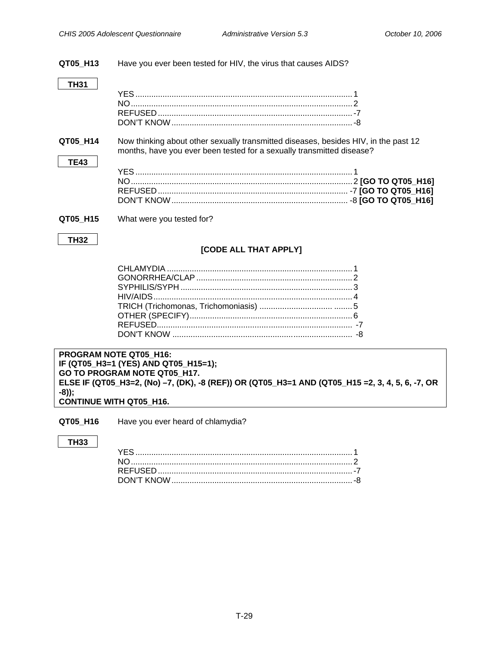#### <span id="page-31-0"></span>QT05\_H13 Have you ever been tested for HIV, the virus that causes AIDS?

### **TH31**

| QT05 H14    | months, have you ever been tested for a sexually transmitted disease? | Now thinking about other sexually transmitted diseases, besides HIV, in the past 12 |
|-------------|-----------------------------------------------------------------------|-------------------------------------------------------------------------------------|
| <b>TE43</b> |                                                                       |                                                                                     |
|             |                                                                       |                                                                                     |
|             |                                                                       |                                                                                     |
|             |                                                                       |                                                                                     |
|             |                                                                       |                                                                                     |
| QT05 H15    | What were you tested for?                                             |                                                                                     |
| <b>TH32</b> |                                                                       |                                                                                     |

### [CODE ALL THAT APPLY]

**PROGRAM NOTE QT05\_H16:** IF (QT05\_H3=1 (YES) AND QT05\_H15=1); GO TO PROGRAM NOTE QT05\_H17. ELSE IF (QT05\_H3=2, (No) -7, (DK), -8 (REF)) OR (QT05\_H3=1 AND (QT05\_H15 =2, 3, 4, 5, 6, -7, OR  $-8$ )); CONTINUE WITH QT05\_H16.

QT05\_H16 Have you ever heard of chlamydia?

### **TH33**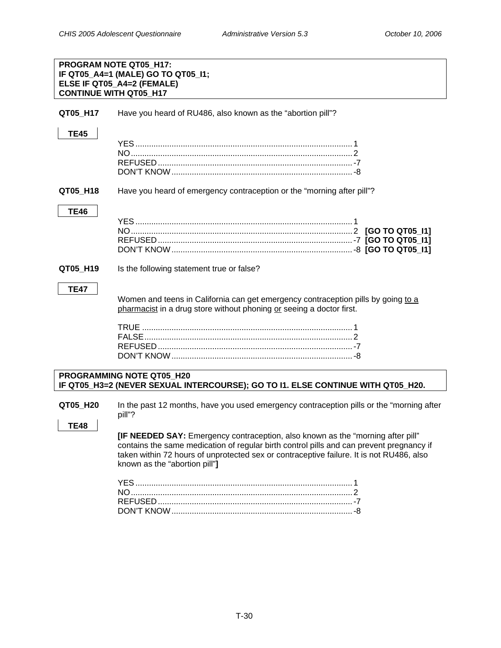<span id="page-32-0"></span>

| PROGRAM NOTE QT05_H17:<br>IF QT05_A4=1 (MALE) GO TO QT05_I1;<br>ELSE IF QT05_A4=2 (FEMALE)<br><b>CONTINUE WITH QT05 H17</b> |                                                                                                                                                                                                                                                                                                          |  |
|-----------------------------------------------------------------------------------------------------------------------------|----------------------------------------------------------------------------------------------------------------------------------------------------------------------------------------------------------------------------------------------------------------------------------------------------------|--|
| QT05_H17                                                                                                                    | Have you heard of RU486, also known as the "abortion pill"?                                                                                                                                                                                                                                              |  |
| <b>TE45</b>                                                                                                                 |                                                                                                                                                                                                                                                                                                          |  |
| QT05_H18                                                                                                                    | Have you heard of emergency contraception or the "morning after pill"?                                                                                                                                                                                                                                   |  |
| <b>TE46</b>                                                                                                                 |                                                                                                                                                                                                                                                                                                          |  |
| QT05_H19                                                                                                                    | Is the following statement true or false?                                                                                                                                                                                                                                                                |  |
| <b>TE47</b>                                                                                                                 | Women and teens in California can get emergency contraception pills by going to a<br>pharmacist in a drug store without phoning or seeing a doctor first.                                                                                                                                                |  |
|                                                                                                                             | PROGRAMMING NOTE QT05 H20<br>IF QT05_H3=2 (NEVER SEXUAL INTERCOURSE); GO TO I1. ELSE CONTINUE WITH QT05_H20.                                                                                                                                                                                             |  |
| QT05_H20<br><b>TE48</b>                                                                                                     | In the past 12 months, have you used emergency contraception pills or the "morning after<br>pill"?                                                                                                                                                                                                       |  |
|                                                                                                                             | [IF NEEDED SAY: Emergency contraception, also known as the "morning after pill"<br>contains the same medication of regular birth control pills and can prevent pregnancy if<br>taken within 72 hours of unprotected sex or contraceptive failure. It is not RU486, also<br>known as the "abortion pill"] |  |
|                                                                                                                             |                                                                                                                                                                                                                                                                                                          |  |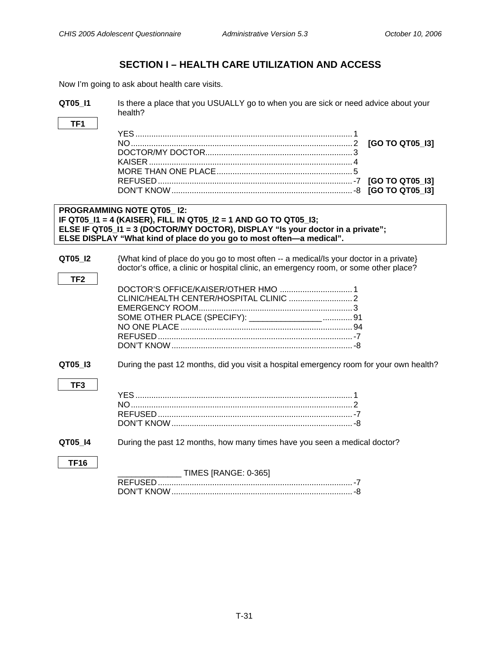# **SECTION I – HEALTH CARE UTILIZATION AND ACCESS**

<span id="page-33-0"></span>Now I'm going to ask about health care visits.

| QT05 I1                    | Is there a place that you USUALLY go to when you are sick or need advice about your<br>health?                                                                                                                                                                |
|----------------------------|---------------------------------------------------------------------------------------------------------------------------------------------------------------------------------------------------------------------------------------------------------------|
| TF1                        | [GO TO QT05_I3]                                                                                                                                                                                                                                               |
|                            | <b>PROGRAMMING NOTE QT05_I2:</b><br>IF QT05_I1 = 4 (KAISER), FILL IN QT05_I2 = 1 AND GO TO QT05_I3;<br>ELSE IF QT05_I1 = 3 (DOCTOR/MY DOCTOR), DISPLAY "Is your doctor in a private";<br>ELSE DISPLAY "What kind of place do you go to most often-a medical". |
| QT05 12<br>TF <sub>2</sub> | {What kind of place do you go to most often -- a medical/ls your doctor in a private}<br>doctor's office, a clinic or hospital clinic, an emergency room, or some other place?<br>SOME OTHER PLACE (SPECIFY): _________________ 91                            |
| QT05_I3<br>TF <sub>3</sub> | During the past 12 months, did you visit a hospital emergency room for your own health?                                                                                                                                                                       |
| QT05_I4<br><b>TF16</b>     | During the past 12 months, how many times have you seen a medical doctor?<br><b>TIMES [RANGE: 0-365]</b>                                                                                                                                                      |
|                            |                                                                                                                                                                                                                                                               |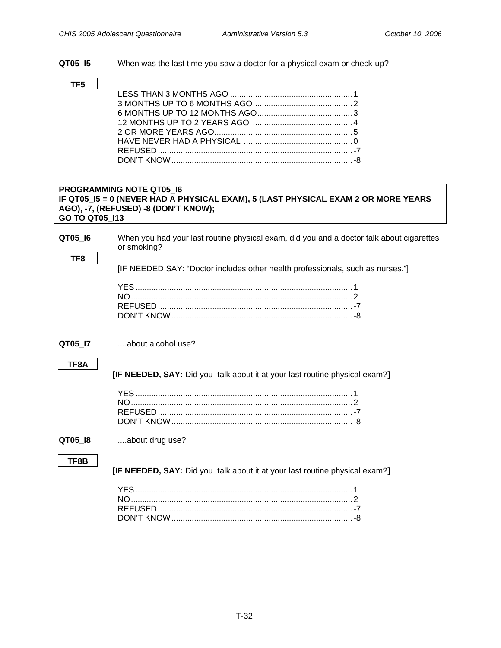<span id="page-34-0"></span>**QT05\_I5** When was the last time you saw a doctor for a physical exam or check-up?

### **TF5**

### **PROGRAMMING NOTE QT05\_I6 IF QT05\_I5 = 0 (NEVER HAD A PHYSICAL EXAM), 5 (LAST PHYSICAL EXAM 2 OR MORE YEARS AGO), -7, (REFUSED) -8 (DON'T KNOW); GO TO QT05\_I13**

**QT05\_I6** When you had your last routine physical exam, did you and a doctor talk about cigarettes or smoking?

[IF NEEDED SAY: "Doctor includes other health professionals, such as nurses."]

### **QT05 I7** ....about alcohol use?

### **TF8A**

**TF8** 

 **[IF NEEDED, SAY:** Did you talk about it at your last routine physical exam?**]**

### **QT05\_I8** ....about drug use?

### **TF8B**

 **[IF NEEDED, SAY:** Did you talk about it at your last routine physical exam?**]**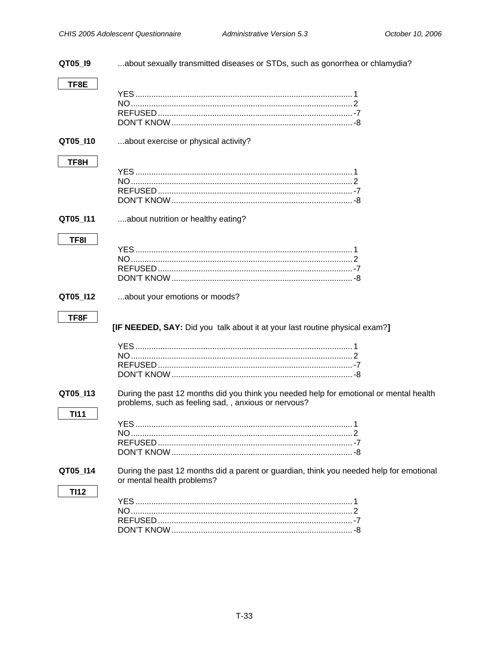<span id="page-35-0"></span>

| QT05_I9     | about sexually transmitted diseases or STDs, such as gonorrhea or chlamydia?                                          |  |
|-------------|-----------------------------------------------------------------------------------------------------------------------|--|
| TF8E        |                                                                                                                       |  |
|             |                                                                                                                       |  |
|             |                                                                                                                       |  |
|             |                                                                                                                       |  |
|             |                                                                                                                       |  |
| QT05_I10    | about exercise or physical activity?                                                                                  |  |
| TF8H        |                                                                                                                       |  |
|             |                                                                                                                       |  |
|             |                                                                                                                       |  |
|             |                                                                                                                       |  |
|             |                                                                                                                       |  |
| QT05_I11    | about nutrition or healthy eating?                                                                                    |  |
|             |                                                                                                                       |  |
| TF8I        |                                                                                                                       |  |
|             |                                                                                                                       |  |
|             |                                                                                                                       |  |
|             |                                                                                                                       |  |
| QT05_I12    | about your emotions or moods?                                                                                         |  |
|             |                                                                                                                       |  |
| TF8F        |                                                                                                                       |  |
|             | [IF NEEDED, SAY: Did you talk about it at your last routine physical exam?]                                           |  |
|             |                                                                                                                       |  |
|             |                                                                                                                       |  |
|             |                                                                                                                       |  |
|             |                                                                                                                       |  |
| QT05_I13    | During the past 12 months did you think you needed help for emotional or mental health                                |  |
|             | problems, such as feeling sad, , anxious or nervous?                                                                  |  |
| <b>TI11</b> |                                                                                                                       |  |
|             |                                                                                                                       |  |
|             |                                                                                                                       |  |
|             |                                                                                                                       |  |
|             |                                                                                                                       |  |
| QT05 I14    | During the past 12 months did a parent or guardian, think you needed help for emotional<br>or mental health problems? |  |
| <b>TI12</b> |                                                                                                                       |  |
|             |                                                                                                                       |  |
|             |                                                                                                                       |  |
|             |                                                                                                                       |  |
|             |                                                                                                                       |  |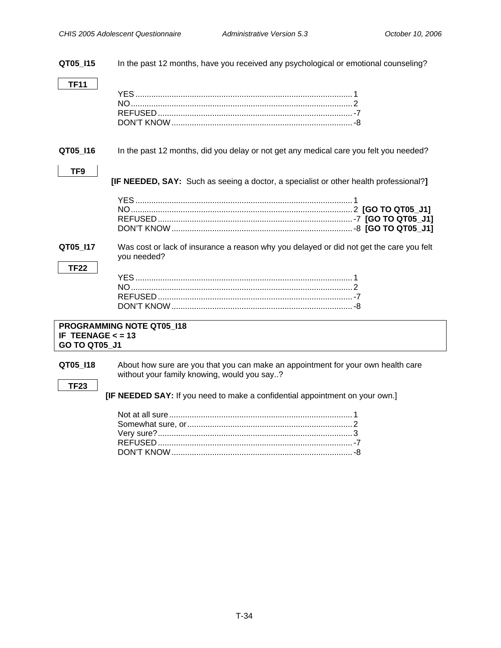<span id="page-36-0"></span>**QT05\_I15** In the past 12 months, have you received any psychological or emotional counseling?

**TF11** 

**QT05\_I16** In the past 12 months, did you delay or not get any medical care you felt you needed?

### **TF9**

 **[IF NEEDED, SAY:** Such as seeing a doctor, a specialist or other health professional?**]** 

**QT05\_I17** Was cost or lack of insurance a reason why you delayed or did not get the care you felt you needed?

### **TF22**

### **PROGRAMMING NOTE QT05\_I18 IF TEENAGE < = 13 GO TO QT05\_J1**

**QT05\_I18** About how sure are you that you can make an appointment for your own health care without your family knowing, would you say..?

### **TF23**

 **[IF NEEDED SAY:** If you need to make a confidential appointment on your own.]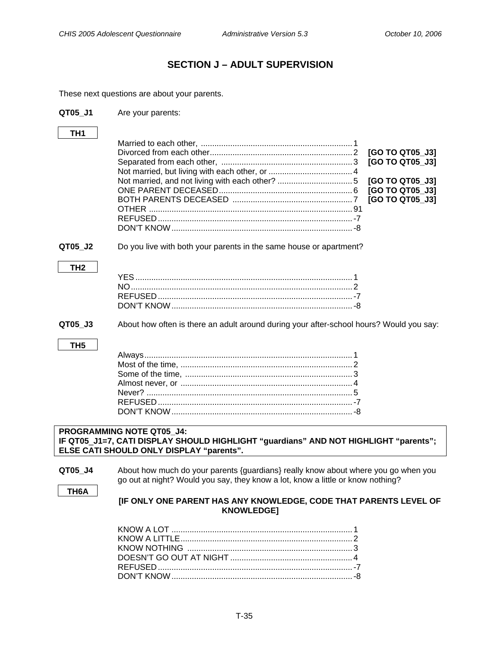# **SECTION J – ADULT SUPERVISION**

<span id="page-37-0"></span>These next questions are about your parents.

| QT05_J1                                                                                                                                                              | Are your parents:                                                                                                                                                     |  |
|----------------------------------------------------------------------------------------------------------------------------------------------------------------------|-----------------------------------------------------------------------------------------------------------------------------------------------------------------------|--|
| TH <sub>1</sub>                                                                                                                                                      |                                                                                                                                                                       |  |
|                                                                                                                                                                      | [GO TO QT05_J3]<br>[GO TO QT05_J3]                                                                                                                                    |  |
|                                                                                                                                                                      | [GO TO QT05_J3]<br>[GO TO QT05_J3]                                                                                                                                    |  |
|                                                                                                                                                                      | [GO TO QT05_J3]                                                                                                                                                       |  |
|                                                                                                                                                                      |                                                                                                                                                                       |  |
| QT05_J2                                                                                                                                                              | Do you live with both your parents in the same house or apartment?                                                                                                    |  |
| TH <sub>2</sub>                                                                                                                                                      |                                                                                                                                                                       |  |
|                                                                                                                                                                      |                                                                                                                                                                       |  |
| QT05 J3                                                                                                                                                              | About how often is there an adult around during your after-school hours? Would you say:                                                                               |  |
| TH <sub>5</sub>                                                                                                                                                      |                                                                                                                                                                       |  |
| <b>PROGRAMMING NOTE QT05_J4:</b><br>IF QT05_J1=7, CATI DISPLAY SHOULD HIGHLIGHT "guardians" AND NOT HIGHLIGHT "parents";<br>ELSE CATI SHOULD ONLY DISPLAY "parents". |                                                                                                                                                                       |  |
| QT05_J4<br>TH <sub>6</sub> A                                                                                                                                         | About how much do your parents {guardians} really know about where you go when you<br>go out at night? Would you say, they know a lot, know a little or know nothing? |  |
|                                                                                                                                                                      | [IF ONLY ONE PARENT HAS ANY KNOWLEDGE, CODE THAT PARENTS LEVEL OF<br><b>KNOWLEDGE]</b>                                                                                |  |
|                                                                                                                                                                      |                                                                                                                                                                       |  |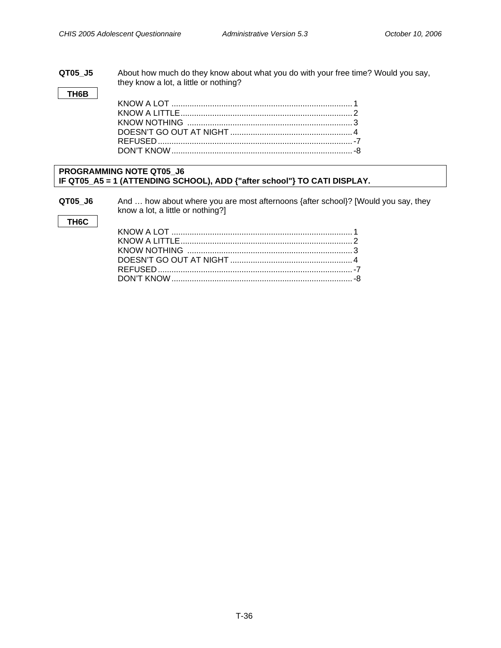### **QT05\_J5** About how much do they know about what you do with your free time? Would you say, they know a lot, a little or nothing?

**TH6B**

### **PROGRAMMING NOTE QT05\_J6 IF QT05\_A5 = 1 (ATTENDING SCHOOL), ADD {"after school"} TO CATI DISPLAY.**

**QT05\_J6** And … how about where you are most afternoons {after school}? [Would you say, they know a lot, a little or nothing?]

### **TH6C**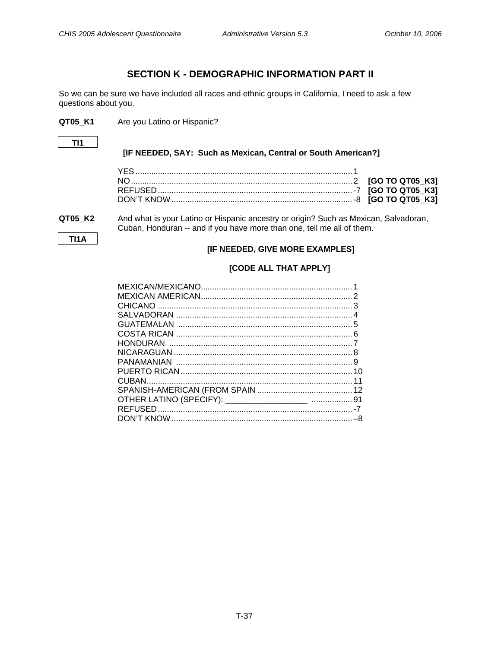# **SECTION K - DEMOGRAPHIC INFORMATION PART II**

<span id="page-39-0"></span>So we can be sure we have included all races and ethnic groups in California, I need to ask a few questions about you.

**QT05\_K1** Are you Latino or Hispanic?

**TI1** 

### **[IF NEEDED, SAY: Such as Mexican, Central or South American?]**

**TI1A** 

### **QT05\_K2** And what is your Latino or Hispanic ancestry or origin? Such as Mexican, Salvadoran, Cuban, Honduran -- and if you have more than one, tell me all of them.

### **[IF NEEDED, GIVE MORE EXAMPLES]**

### **[CODE ALL THAT APPLY]**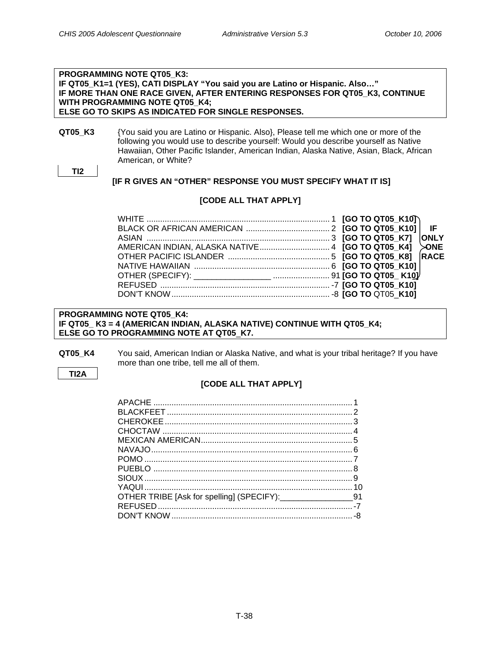### **PROGRAMMING NOTE QT05\_K3: IF QT05\_K1=1 (YES), CATI DISPLAY "You said you are Latino or Hispanic. Also…" IF MORE THAN ONE RACE GIVEN, AFTER ENTERING RESPONSES FOR QT05\_K3, CONTINUE WITH PROGRAMMING NOTE QT05\_K4; ELSE GO TO SKIPS AS INDICATED FOR SINGLE RESPONSES.**

**QT05\_K3** {You said you are Latino or Hispanic. Also}, Please tell me which one or more of the following you would use to describe yourself: Would you describe yourself as Native Hawaiian, Other Pacific Islander, American Indian, Alaska Native, Asian, Black, African American, or White?

```
TI2
```
 **[IF R GIVES AN "OTHER" RESPONSE YOU MUST SPECIFY WHAT IT IS]** 

### **[CODE ALL THAT APPLY]**

### **PROGRAMMING NOTE QT05\_K4: IF QT05\_ K3 = 4 (AMERICAN INDIAN, ALASKA NATIVE) CONTINUE WITH QT05\_K4; ELSE GO TO PROGRAMMING NOTE AT QT05**\_**K7.**

**QT05\_K4** You said, American Indian or Alaska Native, and what is your tribal heritage? If you have more than one tribe, tell me all of them.

### **TI2A**

### **[CODE ALL THAT APPLY]**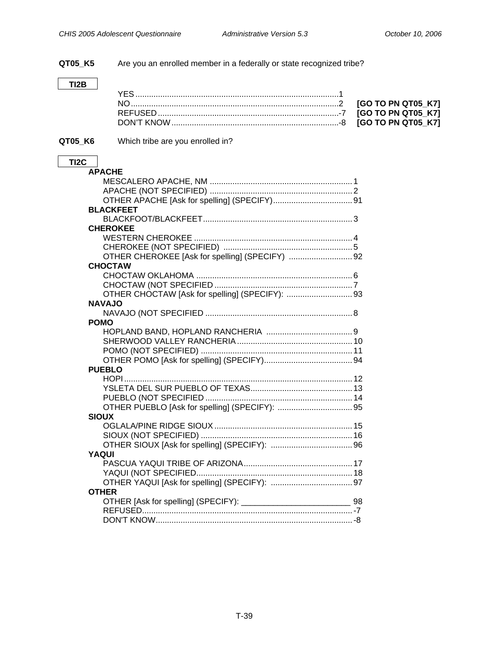**QT05\_K5** Are you an enrolled member in a federally or state recognized tribe?

### **TI2B**

### **QT05\_K6** Which tribe are you enrolled in?

### **TI2C APACHE**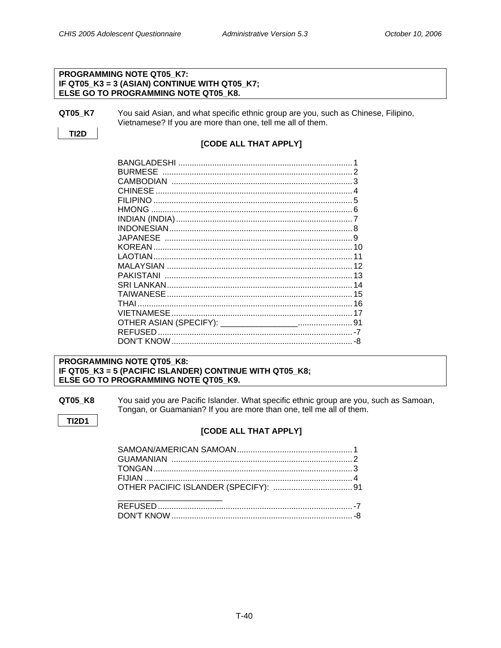### PROGRAMMING NOTE QT05 K7: IF QT05 K3 = 3 (ASIAN) CONTINUE WITH QT05 K7; ELSE GO TO PROGRAMMING NOTE QT05\_K8.

```
QT05 K7
    You said Asian, and what specific ethnic group are you, such as Chinese, Filipino,
    Vietnamese? If you are more than one, tell me all of them.
```
**TI2D** 

### [CODE ALL THAT APPLY]

| <b>BURMESE</b>  |    |
|-----------------|----|
|                 |    |
| CHINESE         |    |
|                 |    |
|                 |    |
|                 |    |
|                 |    |
| <b>JAPANESE</b> |    |
|                 |    |
|                 | 11 |
|                 |    |
|                 |    |
|                 |    |
|                 |    |
| THAI            |    |
|                 |    |
|                 |    |
|                 |    |
|                 |    |
|                 |    |

### PROGRAMMING NOTE QT05\_K8: IF QT05\_K3 = 5 (PACIFIC ISLANDER) CONTINUE WITH QT05\_K8; ELSE GO TO PROGRAMMING NOTE QT05 K9.

QT05\_K8 You said you are Pacific Islander. What specific ethnic group are you, such as Samoan, Tongan, or Guamanian? If you are more than one, tell me all of them.

**TI2D1** 

### [CODE ALL THAT APPLY]

| OTHER PACIFIC ISLANDER (SPECIFY):  91 |  |  |
|---------------------------------------|--|--|
|                                       |  |  |
|                                       |  |  |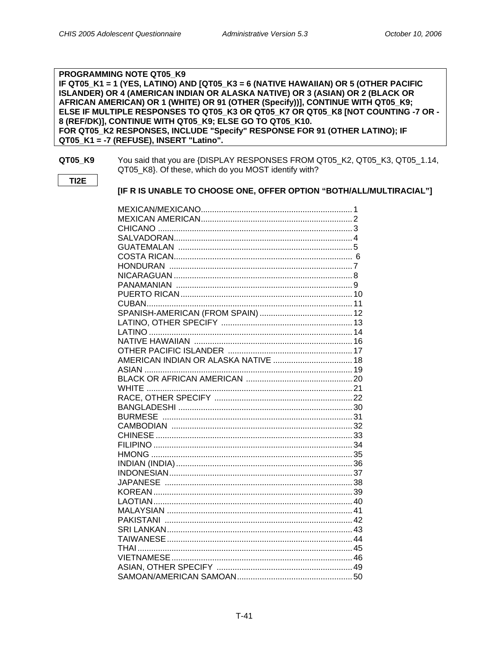### PROGRAMMING NOTE QT05 K9 IF QT05 K1 = 1 (YES, LATINO) AND [QT05 K3 = 6 (NATIVE HAWAIIAN) OR 5 (OTHER PACIFIC ISLANDER) OR 4 (AMERICAN INDIAN OR ALASKA NATIVE) OR 3 (ASIAN) OR 2 (BLACK OR AFRICAN AMERICAN) OR 1 (WHITE) OR 91 (OTHER (Specify))], CONTINUE WITH QT05\_K9; ELSE IF MULTIPLE RESPONSES TO QT05\_K3 OR QT05\_K7 OR QT05\_K8 [NOT COUNTING -7 OR -8 (REF/DK)], CONTINUE WITH QT05\_K9; ELSE GO TO QT05\_K10. FOR QT05\_K2 RESPONSES, INCLUDE "Specify" RESPONSE FOR 91 (OTHER LATINO); IF QT05 K1 = -7 (REFUSE), INSERT "Latino".

### QT05\_K9

You said that you are {DISPLAY RESPONSES FROM QT05\_K2, QT05\_K3, QT05\_1.14, QT05\_K8}. Of these, which do you MOST identify with?

TI<sub>2</sub>E

### [IF R IS UNABLE TO CHOOSE ONE, OFFER OPTION "BOTH/ALL/MULTIRACIAL"]

| AMERICAN INDIAN OR ALASKA NATIVE  18 |  |
|--------------------------------------|--|
|                                      |  |
|                                      |  |
|                                      |  |
|                                      |  |
|                                      |  |
|                                      |  |
|                                      |  |
|                                      |  |
|                                      |  |
|                                      |  |
|                                      |  |
|                                      |  |
|                                      |  |
|                                      |  |
|                                      |  |
|                                      |  |
|                                      |  |
|                                      |  |
|                                      |  |
|                                      |  |
|                                      |  |
|                                      |  |
|                                      |  |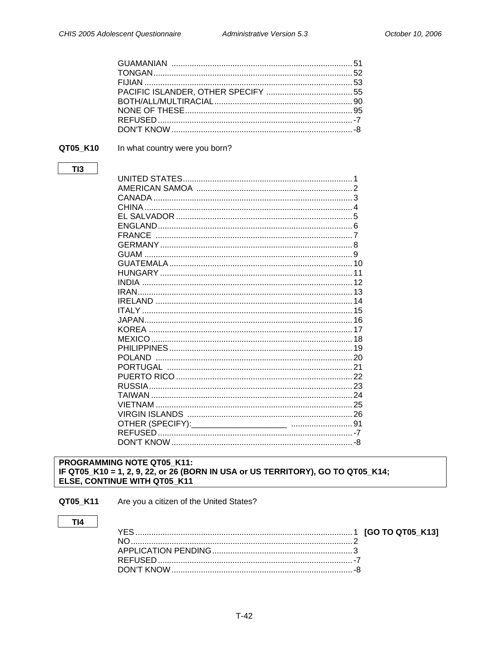<span id="page-44-0"></span>

### QT05\_K10

### In what country were you born?

### $TI3$

### PROGRAMMING NOTE QT05\_K11: IF QT05\_K10 = 1, 2, 9, 22, or 26 (BORN IN USA or US TERRITORY), GO TO QT05\_K14; ELSE, CONTINUE WITH QT05\_K11

QT05\_K11 Are you a citizen of the United States?

### $TI4$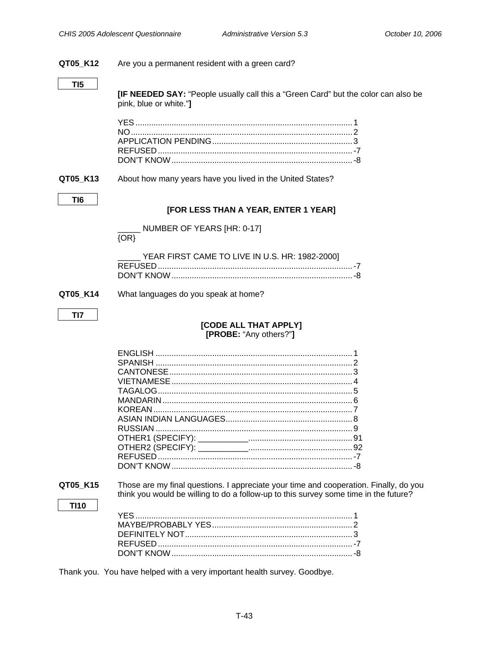<span id="page-45-0"></span>

| QT05_K12    | Are you a permanent resident with a green card?                                                                                                                               |  |
|-------------|-------------------------------------------------------------------------------------------------------------------------------------------------------------------------------|--|
| TI5         |                                                                                                                                                                               |  |
|             | <b>[IF NEEDED SAY:</b> "People usually call this a "Green Card" but the color can also be<br>pink, blue or white."]                                                           |  |
|             |                                                                                                                                                                               |  |
| QT05_K13    | About how many years have you lived in the United States?                                                                                                                     |  |
| TI6         | [FOR LESS THAN A YEAR, ENTER 1 YEAR]                                                                                                                                          |  |
|             |                                                                                                                                                                               |  |
|             | NUMBER OF YEARS [HR: 0-17]<br>$\{OR\}$                                                                                                                                        |  |
|             | YEAR FIRST CAME TO LIVE IN U.S. HR: 1982-2000]                                                                                                                                |  |
|             |                                                                                                                                                                               |  |
| QT05_K14    | What languages do you speak at home?                                                                                                                                          |  |
| TI7         |                                                                                                                                                                               |  |
|             | [CODE ALL THAT APPLY]<br>[PROBE: "Any others?"]                                                                                                                               |  |
|             |                                                                                                                                                                               |  |
|             |                                                                                                                                                                               |  |
|             |                                                                                                                                                                               |  |
|             |                                                                                                                                                                               |  |
|             |                                                                                                                                                                               |  |
|             |                                                                                                                                                                               |  |
|             | <b>KOREAN</b>                                                                                                                                                                 |  |
|             |                                                                                                                                                                               |  |
|             |                                                                                                                                                                               |  |
|             |                                                                                                                                                                               |  |
|             |                                                                                                                                                                               |  |
|             |                                                                                                                                                                               |  |
| QT05 K15    | Those are my final questions. I appreciate your time and cooperation. Finally, do you<br>think you would be willing to do a follow-up to this survey some time in the future? |  |
| <b>TI10</b> |                                                                                                                                                                               |  |
|             |                                                                                                                                                                               |  |
|             |                                                                                                                                                                               |  |
|             |                                                                                                                                                                               |  |
|             |                                                                                                                                                                               |  |
|             |                                                                                                                                                                               |  |

Thank you. You have helped with a very important health survey. Goodbye.